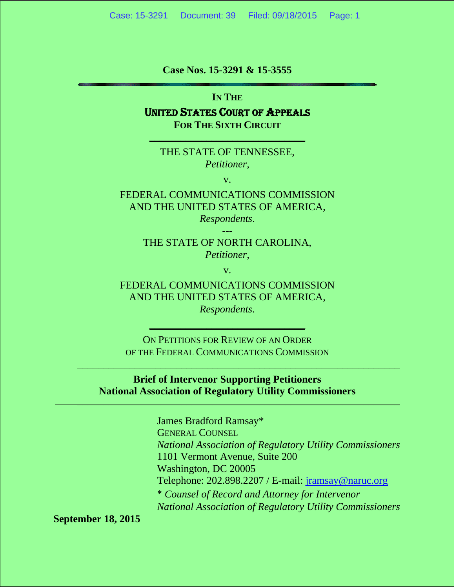**Case Nos. 15-3291 & 15-3555** 

**IN THE** 

#### UNITED STATES COURT OF APPEALS **FOR THE SIXTH CIRCUIT**

**\_\_\_\_\_\_\_\_\_\_\_\_\_\_\_\_\_\_\_\_\_\_\_\_\_\_\_\_\_\_**

THE STATE OF TENNESSEE, *Petitioner,*

v.

FEDERAL COMMUNICATIONS COMMISSION AND THE UNITED STATES OF AMERICA,

*Respondents*. ---

#### THE STATE OF NORTH CAROLINA, *Petitioner,*

v.

FEDERAL COMMUNICATIONS COMMISSION AND THE UNITED STATES OF AMERICA, *Respondents*.

ON PETITIONS FOR REVIEW OF AN ORDER OF THE FEDERAL COMMUNICATIONS COMMISSION

\_\_\_\_\_\_\_\_\_\_\_\_\_\_\_\_\_\_\_\_\_\_\_\_\_\_\_\_\_\_\_\_\_\_\_\_\_\_\_\_\_\_\_\_\_\_\_\_\_\_\_\_\_\_\_\_\_\_\_\_\_\_

**\_\_\_\_\_\_\_\_\_\_\_\_\_\_\_\_\_\_\_\_\_\_\_\_\_\_\_\_\_\_**

**Brief of Intervenor Supporting Petitioners National Association of Regulatory Utility Commissioners** \_\_\_\_\_\_\_\_\_\_\_\_\_\_\_\_\_\_\_\_\_\_\_\_\_\_\_\_\_\_\_\_\_\_\_\_\_\_\_\_\_\_\_\_\_\_\_\_\_\_\_\_\_\_\_\_\_\_\_\_\_\_

> James Bradford Ramsay\* GENERAL COUNSEL *National Association of Regulatory Utility Commissioners*  1101 Vermont Avenue, Suite 200 Washington, DC 20005 Telephone: 202.898.2207 / E-mail: jramsay@naruc.org \* *Counsel of Record and Attorney for Intervenor National Association of Regulatory Utility Commissioners*

**September 18, 2015**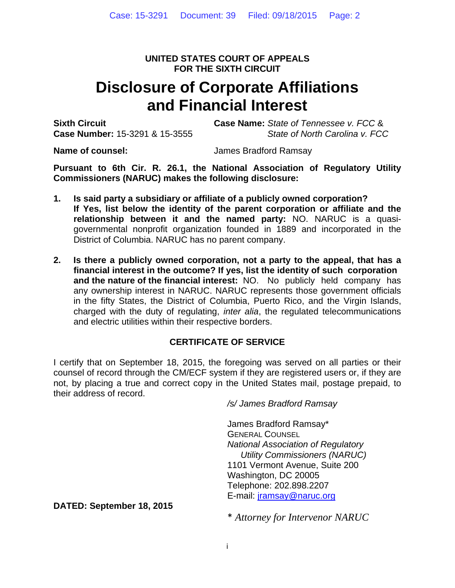#### **UNITED STATES COURT OF APPEALS FOR THE SIXTH CIRCUIT**

# **Disclosure of Corporate Affiliations and Financial Interest**

**Sixth Circuit Case Name:** *State of Tennessee v. FCC* & **Case Number:** 15-3291 & 15-3555*State of North Carolina v. FCC*

**Name of counsel:** James Bradford Ramsay

**Pursuant to 6th Cir. R. 26.1, the National Association of Regulatory Utility Commissioners (NARUC) makes the following disclosure:**

- **1. Is said party a subsidiary or affiliate of a publicly owned corporation? If Yes, list below the identity of the parent corporation or affiliate and the relationship between it and the named party:** NO. NARUC is a quasigovernmental nonprofit organization founded in 1889 and incorporated in the District of Columbia. NARUC has no parent company.
- **2. Is there a publicly owned corporation, not a party to the appeal, that has a financial interest in the outcome? If yes, list the identity of such corporation and the nature of the financial interest:** NO. No publicly held company has any ownership interest in NARUC. NARUC represents those government officials in the fifty States, the District of Columbia, Puerto Rico, and the Virgin Islands, charged with the duty of regulating, *inter alia*, the regulated telecommunications and electric utilities within their respective borders.

#### **CERTIFICATE OF SERVICE**

I certify that on September 18, 2015, the foregoing was served on all parties or their counsel of record through the CM/ECF system if they are registered users or, if they are not, by placing a true and correct copy in the United States mail, postage prepaid, to their address of record.

*/s/ James Bradford Ramsay* 

James Bradford Ramsay\* GENERAL COUNSEL *National Association of Regulatory Utility Commissioners (NARUC)*  1101 Vermont Avenue, Suite 200 Washington, DC 20005 Telephone: 202.898.2207 E-mail: jramsay@naruc.org

**DATED: September 18, 2015** 

\* *Attorney for Intervenor NARUC*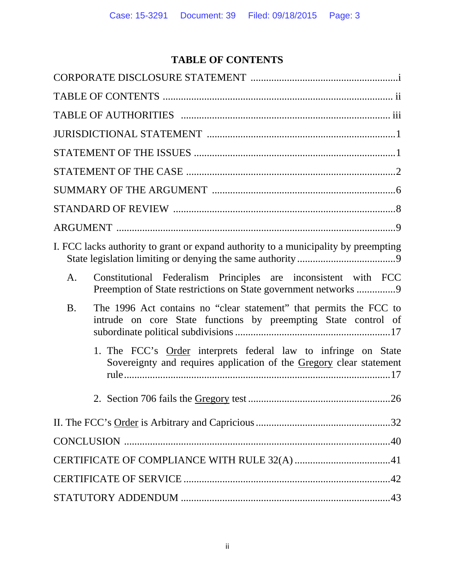# **TABLE OF CONTENTS**

| I. FCC lacks authority to grant or expand authority to a municipality by preempting                                                               |
|---------------------------------------------------------------------------------------------------------------------------------------------------|
| Constitutional Federalism Principles are inconsistent with FCC<br>A.<br>Preemption of State restrictions on State government networks 9           |
| The 1996 Act contains no "clear statement" that permits the FCC to<br><b>B.</b><br>intrude on core State functions by preempting State control of |
| 1. The FCC's Order interprets federal law to infringe on State<br>Sovereignty and requires application of the Gregory clear statement             |
|                                                                                                                                                   |
|                                                                                                                                                   |
|                                                                                                                                                   |
|                                                                                                                                                   |
|                                                                                                                                                   |
|                                                                                                                                                   |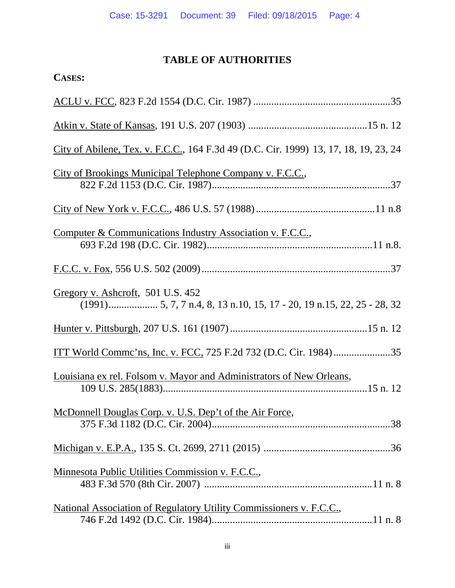# **TABLE OF AUTHORITIES**

| <b>CASES:</b>                                                                        |
|--------------------------------------------------------------------------------------|
|                                                                                      |
|                                                                                      |
| City of Abilene, Tex. v. F.C.C., 164 F.3d 49 (D.C. Cir. 1999) 13, 17, 18, 19, 23, 24 |
| City of Brookings Municipal Telephone Company v. F.C.C.,                             |
|                                                                                      |
| Computer & Communications Industry Association v. F.C.C.,                            |
|                                                                                      |
| Gregory v. Ashcroft, 501 U.S. 452                                                    |
|                                                                                      |
|                                                                                      |
| Louisiana ex rel. Folsom v. Mayor and Administrators of New Orleans,                 |
| McDonnell Douglas Corp. v. U.S. Dep't of the Air Force,                              |
|                                                                                      |
| Minnesota Public Utilities Commission v. F.C.C.,                                     |
| National Association of Regulatory Utility Commissioners v. F.C.C.,                  |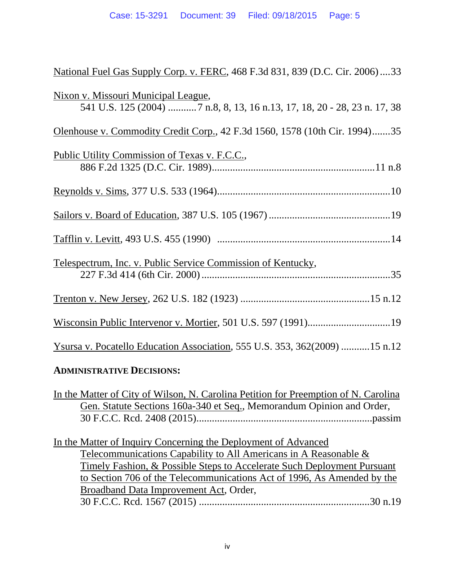| National Fuel Gas Supply Corp. v. FERC, 468 F.3d 831, 839 (D.C. Cir. 2006)  33                                         |
|------------------------------------------------------------------------------------------------------------------------|
| <u>Nixon v. Missouri Municipal League,</u><br>541 U.S. 125 (2004) 7 n.8, 8, 13, 16 n.13, 17, 18, 20 - 28, 23 n. 17, 38 |
| Olenhouse v. Commodity Credit Corp., 42 F.3d 1560, 1578 (10th Cir. 1994)35                                             |
| Public Utility Commission of Texas v. F.C.C.,                                                                          |
|                                                                                                                        |
|                                                                                                                        |
|                                                                                                                        |
| Telespectrum, Inc. v. Public Service Commission of Kentucky,                                                           |
|                                                                                                                        |
|                                                                                                                        |
| Ysursa v. Pocatello Education Association, 555 U.S. 353, 362(2009) 15 n.12                                             |
| <b>ADMINISTRATIVE DECISIONS:</b>                                                                                       |

# In the Matter of City of Wilson, N. Carolina Petition for Preemption of N. Carolina Gen. Statute Sections 160a-340 et Seq., Memorandum Opinion and Order, 30 F.C.C. Rcd. 2408 (2015) ....................................................................passim

| In the Matter of Inquiry Concerning the Deployment of Advanced          |  |
|-------------------------------------------------------------------------|--|
| Telecommunications Capability to All Americans in A Reasonable &        |  |
| Timely Fashion, & Possible Steps to Accelerate Such Deployment Pursuant |  |
| to Section 706 of the Telecommunications Act of 1996, As Amended by the |  |
| Broadband Data Improvement Act, Order,                                  |  |
|                                                                         |  |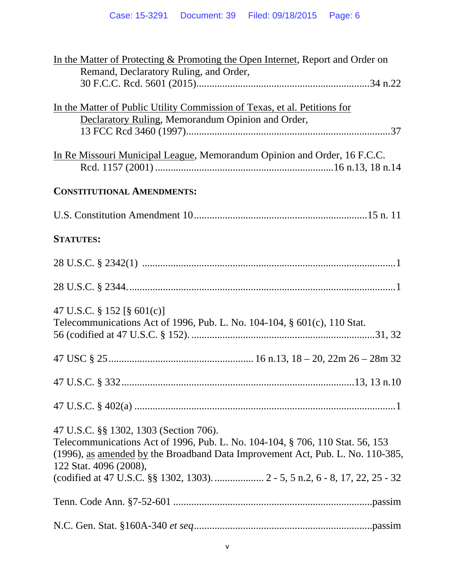| In the Matter of Protecting & Promoting the Open Internet, Report and Order on<br>Remand, Declaratory Ruling, and Order,                                                                                                            |
|-------------------------------------------------------------------------------------------------------------------------------------------------------------------------------------------------------------------------------------|
| In the Matter of Public Utility Commission of Texas, et al. Petitions for<br>Declaratory Ruling, Memorandum Opinion and Order,                                                                                                      |
| In Re Missouri Municipal League, Memorandum Opinion and Order, 16 F.C.C.                                                                                                                                                            |
| <b>CONSTITUTIONAL AMENDMENTS:</b>                                                                                                                                                                                                   |
|                                                                                                                                                                                                                                     |
| <b>STATUTES:</b>                                                                                                                                                                                                                    |
|                                                                                                                                                                                                                                     |
|                                                                                                                                                                                                                                     |
| 47 U.S.C. § 152 [§ 601(c)]<br>Telecommunications Act of 1996, Pub. L. No. 104-104, § 601(c), 110 Stat.                                                                                                                              |
|                                                                                                                                                                                                                                     |
|                                                                                                                                                                                                                                     |
|                                                                                                                                                                                                                                     |
| 47 U.S.C. §§ 1302, 1303 (Section 706).<br>Telecommunications Act of 1996, Pub. L. No. 104-104, § 706, 110 Stat. 56, 153<br>(1996), as amended by the Broadband Data Improvement Act, Pub. L. No. 110-385,<br>122 Stat. 4096 (2008), |
|                                                                                                                                                                                                                                     |
|                                                                                                                                                                                                                                     |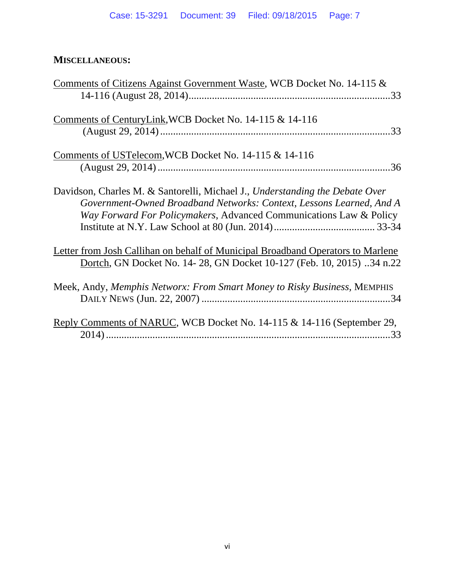# **MISCELLANEOUS:**

| <u>Comments of Citizens Against Government Waste, WCB Docket No. 14-115 &amp;</u>                                                                                                                                          |
|----------------------------------------------------------------------------------------------------------------------------------------------------------------------------------------------------------------------------|
|                                                                                                                                                                                                                            |
| Comments of CenturyLink, WCB Docket No. 14-115 & 14-116                                                                                                                                                                    |
| Comments of USTelecom, WCB Docket No. 14-115 & 14-116                                                                                                                                                                      |
|                                                                                                                                                                                                                            |
| Davidson, Charles M. & Santorelli, Michael J., Understanding the Debate Over<br>Government-Owned Broadband Networks: Context, Lessons Learned, And A<br>Way Forward For Policymakers, Advanced Communications Law & Policy |
| Letter from Josh Callihan on behalf of Municipal Broadband Operators to Marlene<br>Dortch, GN Docket No. 14-28, GN Docket 10-127 (Feb. 10, 2015) 34 n.22                                                                   |
| Meek, Andy, Memphis Networx: From Smart Money to Risky Business, MEMPHIS                                                                                                                                                   |
| Reply Comments of NARUC, WCB Docket No. 14-115 & 14-116 (September 29,                                                                                                                                                     |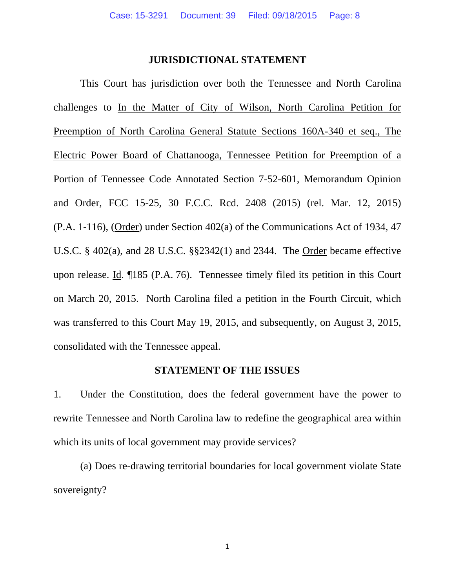#### **JURISDICTIONAL STATEMENT**

 This Court has jurisdiction over both the Tennessee and North Carolina challenges to In the Matter of City of Wilson, North Carolina Petition for Preemption of North Carolina General Statute Sections 160A-340 et seq., The Electric Power Board of Chattanooga, Tennessee Petition for Preemption of a Portion of Tennessee Code Annotated Section 7-52-601, Memorandum Opinion and Order, FCC 15-25, 30 F.C.C. Rcd. 2408 (2015) (rel. Mar. 12, 2015) (P.A. 1-116), (Order) under Section 402(a) of the Communications Act of 1934, 47 U.S.C. § 402(a), and 28 U.S.C. §§2342(1) and 2344. The Order became effective upon release. Id. ¶185 (P.A. 76). Tennessee timely filed its petition in this Court on March 20, 2015. North Carolina filed a petition in the Fourth Circuit, which was transferred to this Court May 19, 2015, and subsequently, on August 3, 2015, consolidated with the Tennessee appeal.

#### **STATEMENT OF THE ISSUES**

1. Under the Constitution, does the federal government have the power to rewrite Tennessee and North Carolina law to redefine the geographical area within which its units of local government may provide services?

 (a) Does re-drawing territorial boundaries for local government violate State sovereignty?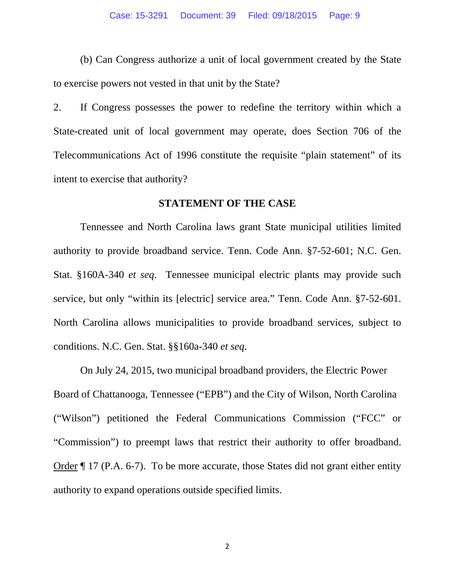(b) Can Congress authorize a unit of local government created by the State to exercise powers not vested in that unit by the State?

2. If Congress possesses the power to redefine the territory within which a State-created unit of local government may operate, does Section 706 of the Telecommunications Act of 1996 constitute the requisite "plain statement" of its intent to exercise that authority?

#### **STATEMENT OF THE CASE**

 Tennessee and North Carolina laws grant State municipal utilities limited authority to provide broadband service. Tenn. Code Ann. §7-52-601; N.C. Gen. Stat. §160A-340 *et seq*. Tennessee municipal electric plants may provide such service, but only "within its [electric] service area." Tenn. Code Ann. §7-52-601. North Carolina allows municipalities to provide broadband services, subject to conditions. N.C. Gen. Stat. §§160a-340 *et seq*.

 On July 24, 2015, two municipal broadband providers, the Electric Power Board of Chattanooga, Tennessee ("EPB") and the City of Wilson, North Carolina ("Wilson") petitioned the Federal Communications Commission ("FCC" or "Commission") to preempt laws that restrict their authority to offer broadband. Order ¶ 17 (P.A. 6-7). To be more accurate, those States did not grant either entity authority to expand operations outside specified limits.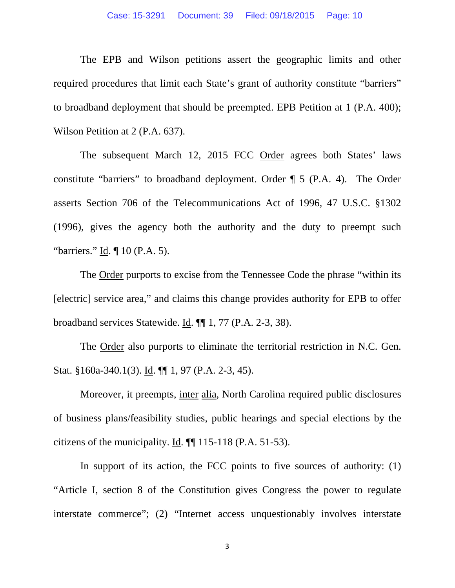The EPB and Wilson petitions assert the geographic limits and other required procedures that limit each State's grant of authority constitute "barriers" to broadband deployment that should be preempted. EPB Petition at 1 (P.A. 400); Wilson Petition at 2 (P.A. 637).

The subsequent March 12, 2015 FCC Order agrees both States' laws constitute "barriers" to broadband deployment. Order ¶ 5 (P.A. 4). The Order asserts Section 706 of the Telecommunications Act of 1996, 47 U.S.C. §1302 (1996), gives the agency both the authority and the duty to preempt such "barriers." Id. ¶ 10 (P.A. 5).

 The Order purports to excise from the Tennessee Code the phrase "within its [electric] service area," and claims this change provides authority for EPB to offer broadband services Statewide. Id. ¶¶ 1, 77 (P.A. 2-3, 38).

 The Order also purports to eliminate the territorial restriction in N.C. Gen. Stat. §160a-340.1(3). Id. ¶¶ 1, 97 (P.A. 2-3, 45).

 Moreover, it preempts, inter alia, North Carolina required public disclosures of business plans/feasibility studies, public hearings and special elections by the citizens of the municipality. Id.  $\P$  115-118 (P.A. 51-53).

In support of its action, the FCC points to five sources of authority: (1) "Article I, section 8 of the Constitution gives Congress the power to regulate interstate commerce"; (2) "Internet access unquestionably involves interstate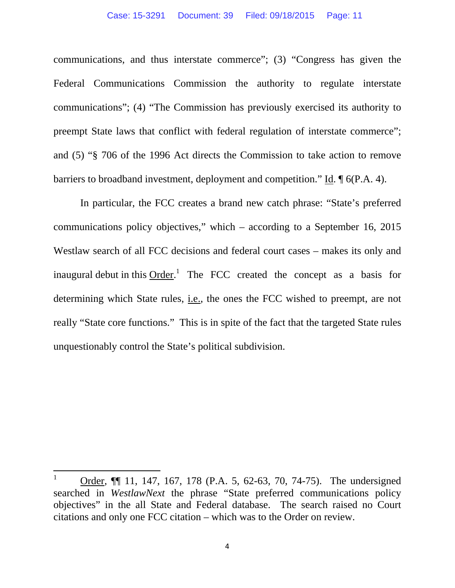communications, and thus interstate commerce"; (3) "Congress has given the Federal Communications Commission the authority to regulate interstate communications"; (4) "The Commission has previously exercised its authority to preempt State laws that conflict with federal regulation of interstate commerce"; and (5) "§ 706 of the 1996 Act directs the Commission to take action to remove barriers to broadband investment, deployment and competition." Id. ¶ 6(P.A. 4).

 In particular, the FCC creates a brand new catch phrase: "State's preferred communications policy objectives," which – according to a September 16, 2015 Westlaw search of all FCC decisions and federal court cases – makes its only and inaugural debut in this  $Order<sup>1</sup>$ . The FCC created the concept as a basis for determining which State rules, i.e., the ones the FCC wished to preempt, are not really "State core functions." This is in spite of the fact that the targeted State rules unquestionably control the State's political subdivision.

<sup>1</sup> Order, ¶¶ 11, 147, 167, 178 (P.A. 5, 62-63, 70, 74-75). The undersigned searched in *WestlawNext* the phrase "State preferred communications policy objectives" in the all State and Federal database. The search raised no Court citations and only one FCC citation – which was to the Order on review.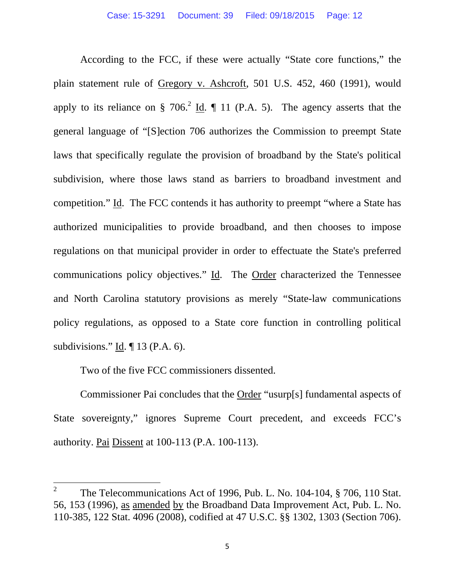According to the FCC, if these were actually "State core functions," the plain statement rule of Gregory v. Ashcroft, 501 U.S. 452, 460 (1991), would apply to its reliance on § 706.<sup>2</sup> Id.  $\P$  11 (P.A. 5). The agency asserts that the general language of "[S]ection 706 authorizes the Commission to preempt State laws that specifically regulate the provision of broadband by the State's political subdivision, where those laws stand as barriers to broadband investment and competition." Id. The FCC contends it has authority to preempt "where a State has authorized municipalities to provide broadband, and then chooses to impose regulations on that municipal provider in order to effectuate the State's preferred communications policy objectives." Id. The Order characterized the Tennessee and North Carolina statutory provisions as merely "State-law communications policy regulations, as opposed to a State core function in controlling political subdivisions." Id. ¶ 13 (P.A. 6).

Two of the five FCC commissioners dissented.

 Commissioner Pai concludes that the Order "usurp[s] fundamental aspects of State sovereignty," ignores Supreme Court precedent, and exceeds FCC's authority. Pai Dissent at 100-113 (P.A. 100-113).

<sup>2</sup> The Telecommunications Act of 1996, Pub. L. No. 104-104, § 706, 110 Stat. 56, 153 (1996), as amended by the Broadband Data Improvement Act, Pub. L. No. 110-385, 122 Stat. 4096 (2008), codified at 47 U.S.C. §§ 1302, 1303 (Section 706).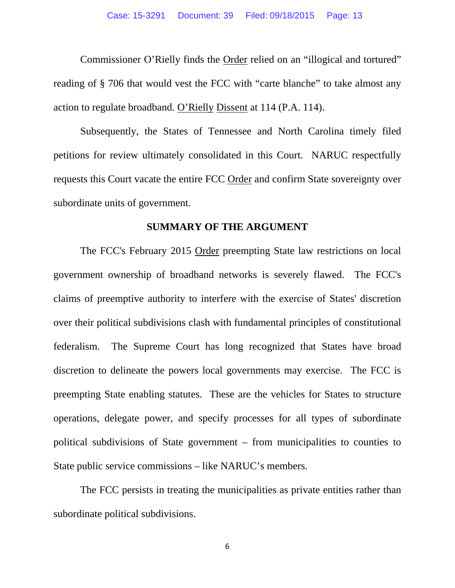Commissioner O'Rielly finds the Order relied on an "illogical and tortured" reading of § 706 that would vest the FCC with "carte blanche" to take almost any action to regulate broadband. O'Rielly Dissent at 114 (P.A. 114).

 Subsequently, the States of Tennessee and North Carolina timely filed petitions for review ultimately consolidated in this Court. NARUC respectfully requests this Court vacate the entire FCC Order and confirm State sovereignty over subordinate units of government.

#### **SUMMARY OF THE ARGUMENT**

 The FCC's February 2015 Order preempting State law restrictions on local government ownership of broadband networks is severely flawed. The FCC's claims of preemptive authority to interfere with the exercise of States' discretion over their political subdivisions clash with fundamental principles of constitutional federalism. The Supreme Court has long recognized that States have broad discretion to delineate the powers local governments may exercise. The FCC is preempting State enabling statutes. These are the vehicles for States to structure operations, delegate power, and specify processes for all types of subordinate political subdivisions of State government – from municipalities to counties to State public service commissions – like NARUC's members.

 The FCC persists in treating the municipalities as private entities rather than subordinate political subdivisions.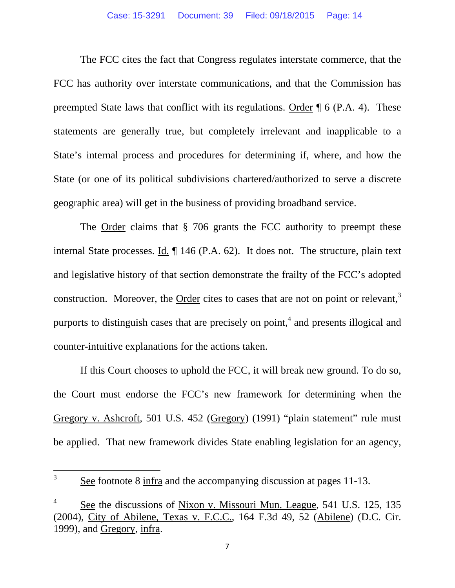The FCC cites the fact that Congress regulates interstate commerce, that the FCC has authority over interstate communications, and that the Commission has preempted State laws that conflict with its regulations. Order ¶ 6 (P.A. 4). These statements are generally true, but completely irrelevant and inapplicable to a State's internal process and procedures for determining if, where, and how the State (or one of its political subdivisions chartered/authorized to serve a discrete geographic area) will get in the business of providing broadband service.

The <u>Order</u> claims that § 706 grants the FCC authority to preempt these internal State processes. Id. ¶ 146 (P.A. 62). It does not. The structure, plain text and legislative history of that section demonstrate the frailty of the FCC's adopted construction. Moreover, the Order cites to cases that are not on point or relevant, $3$ purports to distinguish cases that are precisely on point, $4$  and presents illogical and counter-intuitive explanations for the actions taken.

 If this Court chooses to uphold the FCC, it will break new ground. To do so, the Court must endorse the FCC's new framework for determining when the Gregory v. Ashcroft*,* 501 U.S. 452 (Gregory) (1991) "plain statement" rule must be applied. That new framework divides State enabling legislation for an agency,

<sup>3</sup> See footnote 8 infra and the accompanying discussion at pages 11-13.

<sup>4</sup> See the discussions of Nixon v. Missouri Mun. League, 541 U.S. 125, 135 (2004), City of Abilene, Texas v. F.C.C., 164 F.3d 49, 52 (Abilene) (D.C. Cir. 1999), and Gregory, infra.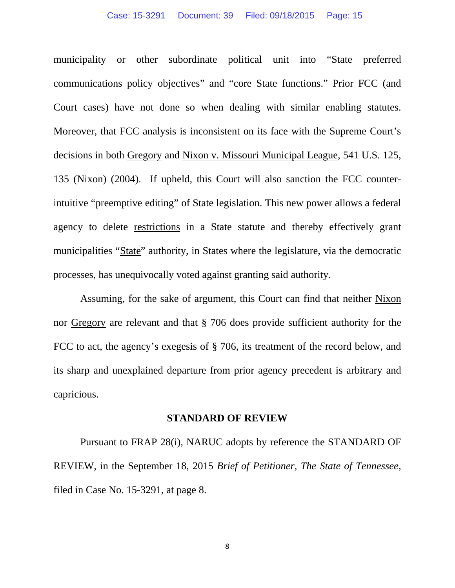municipality or other subordinate political unit into "State preferred communications policy objectives" and "core State functions." Prior FCC (and Court cases) have not done so when dealing with similar enabling statutes. Moreover, that FCC analysis is inconsistent on its face with the Supreme Court's decisions in both Gregory and Nixon v. Missouri Municipal League, 541 U.S. 125, 135 (Nixon) (2004). If upheld, this Court will also sanction the FCC counterintuitive "preemptive editing" of State legislation. This new power allows a federal agency to delete restrictions in a State statute and thereby effectively grant municipalities "State" authority, in States where the legislature, via the democratic processes, has unequivocally voted against granting said authority.

 Assuming, for the sake of argument, this Court can find that neither Nixon nor Gregory are relevant and that § 706 does provide sufficient authority for the FCC to act, the agency's exegesis of § 706, its treatment of the record below, and its sharp and unexplained departure from prior agency precedent is arbitrary and capricious.

#### **STANDARD OF REVIEW**

 Pursuant to FRAP 28(i), NARUC adopts by reference the STANDARD OF REVIEW, in the September 18, 2015 *Brief of Petitioner, The State of Tennessee*, filed in Case No. 15-3291, at page 8.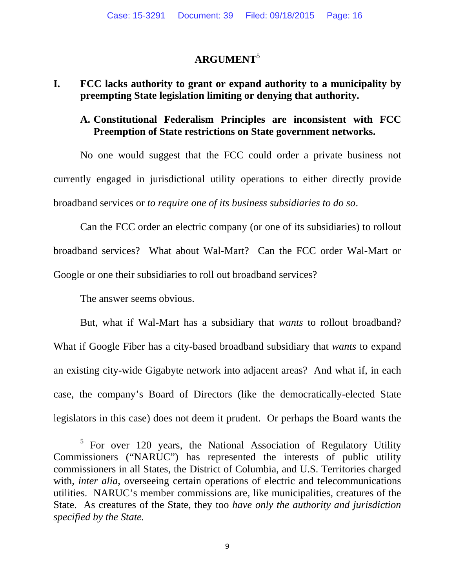# **ARGUMENT**<sup>5</sup>

# **I. FCC lacks authority to grant or expand authority to a municipality by preempting State legislation limiting or denying that authority.**

### **A. Constitutional Federalism Principles are inconsistent with FCC Preemption of State restrictions on State government networks.**

 No one would suggest that the FCC could order a private business not currently engaged in jurisdictional utility operations to either directly provide broadband services or *to require one of its business subsidiaries to do so*.

 Can the FCC order an electric company (or one of its subsidiaries) to rollout broadband services? What about Wal-Mart? Can the FCC order Wal-Mart or Google or one their subsidiaries to roll out broadband services?

The answer seems obvious.

 But, what if Wal-Mart has a subsidiary that *wants* to rollout broadband? What if Google Fiber has a city-based broadband subsidiary that *wants* to expand an existing city-wide Gigabyte network into adjacent areas? And what if, in each case, the company's Board of Directors (like the democratically-elected State legislators in this case) does not deem it prudent. Or perhaps the Board wants the

<sup>&</sup>lt;sup>5</sup> For over 120 years, the National Association of Regulatory Utility Commissioners ("NARUC") has represented the interests of public utility commissioners in all States, the District of Columbia, and U.S. Territories charged with, *inter alia*, overseeing certain operations of electric and telecommunications utilities. NARUC's member commissions are, like municipalities, creatures of the State. As creatures of the State, they too *have only the authority and jurisdiction specified by the State.*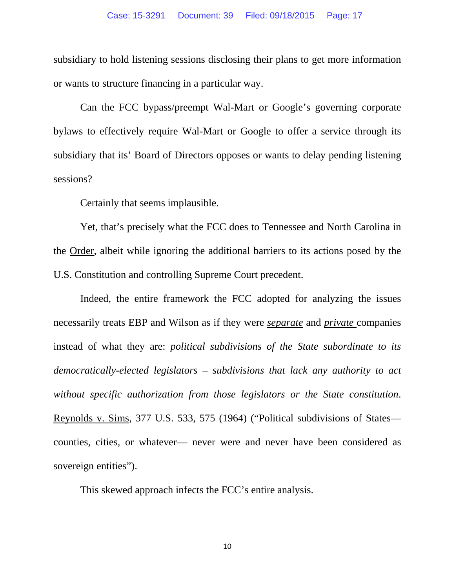subsidiary to hold listening sessions disclosing their plans to get more information or wants to structure financing in a particular way.

 Can the FCC bypass/preempt Wal-Mart or Google's governing corporate bylaws to effectively require Wal-Mart or Google to offer a service through its subsidiary that its' Board of Directors opposes or wants to delay pending listening sessions?

Certainly that seems implausible.

 Yet, that's precisely what the FCC does to Tennessee and North Carolina in the Order, albeit while ignoring the additional barriers to its actions posed by the U.S. Constitution and controlling Supreme Court precedent.

 Indeed, the entire framework the FCC adopted for analyzing the issues necessarily treats EBP and Wilson as if they were *separate* and *private* companies instead of what they are: *political subdivisions of the State subordinate to its democratically-elected legislators – subdivisions that lack any authority to act without specific authorization from those legislators or the State constitution*. Reynolds v. Sims, 377 U.S. 533, 575 (1964) ("Political subdivisions of States counties, cities, or whatever— never were and never have been considered as sovereign entities").

This skewed approach infects the FCC's entire analysis.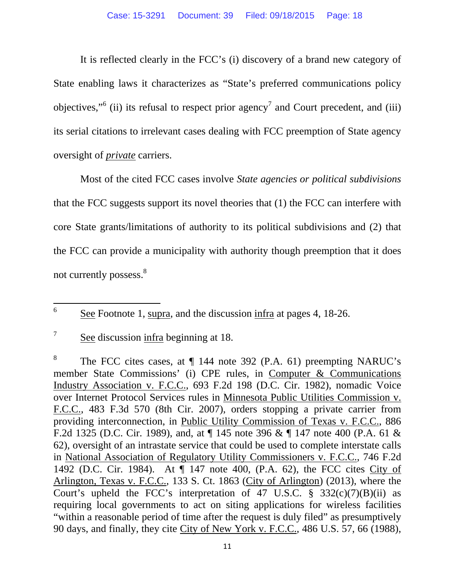It is reflected clearly in the FCC's (i) discovery of a brand new category of State enabling laws it characterizes as "State's preferred communications policy objectives,"<sup>6</sup> (ii) its refusal to respect prior agency<sup>7</sup> and Court precedent, and (iii) its serial citations to irrelevant cases dealing with FCC preemption of State agency oversight of *private* carriers.

 Most of the cited FCC cases involve *State agencies or political subdivisions*  that the FCC suggests support its novel theories that (1) the FCC can interfere with core State grants/limitations of authority to its political subdivisions and (2) that the FCC can provide a municipality with authority though preemption that it does not currently possess.<sup>8</sup>

 6 See Footnote 1, supra, and the discussion infra at pages 4, 18-26.

<sup>7</sup> See discussion infra beginning at 18.

<sup>8</sup> The FCC cites cases, at ¶ 144 note 392 (P.A. 61) preempting NARUC's member State Commissions' (i) CPE rules, in Computer & Communications Industry Association v. F.C.C., 693 F.2d 198 (D.C. Cir. 1982), nomadic Voice over Internet Protocol Services rules in Minnesota Public Utilities Commission v. F.C.C., 483 F.3d 570 (8th Cir. 2007), orders stopping a private carrier from providing interconnection, in Public Utility Commission of Texas v. F.C.C., 886 F.2d 1325 (D.C. Cir. 1989), and, at ¶ 145 note 396 & ¶ 147 note 400 (P.A. 61 & 62), oversight of an intrastate service that could be used to complete interstate calls in National Association of Regulatory Utility Commissioners v. F.C.C., 746 F.2d 1492 (D.C. Cir. 1984). At ¶ 147 note 400, (P.A. 62), the FCC cites City of Arlington, Texas v. F.C.C., 133 S. Ct. 1863 (City of Arlington) (2013), where the Court's upheld the FCC's interpretation of 47 U.S.C.  $\S$  332(c)(7)(B)(ii) as requiring local governments to act on siting applications for wireless facilities "within a reasonable period of time after the request is duly filed" as presumptively 90 days, and finally, they cite City of New York v. F.C.C.*,* 486 U.S. 57, 66 (1988),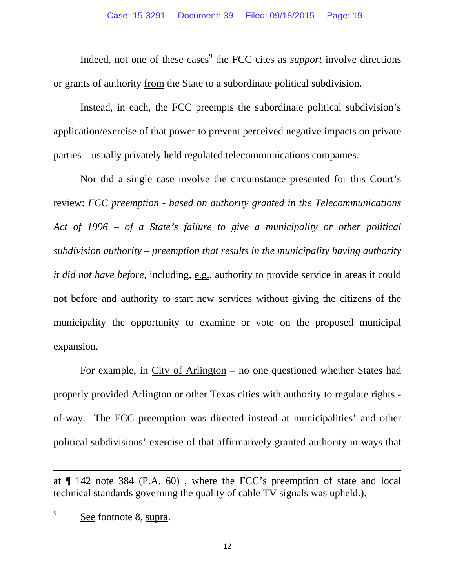Indeed, not one of these cases<sup>9</sup> the FCC cites as *support* involve directions or grants of authority from the State to a subordinate political subdivision.

 Instead, in each, the FCC preempts the subordinate political subdivision's application/exercise of that power to prevent perceived negative impacts on private parties – usually privately held regulated telecommunications companies.

 Nor did a single case involve the circumstance presented for this Court's review: *FCC preemption - based on authority granted in the Telecommunications Act of 1996 – of a State's failure to give a municipality or other political subdivision authority – preemption that results in the municipality having authority it did not have before,* including, e.g., authority to provide service in areas it could not before and authority to start new services without giving the citizens of the municipality the opportunity to examine or vote on the proposed municipal expansion.

 For example, in City of Arlington – no one questioned whether States had properly provided Arlington or other Texas cities with authority to regulate rights of-way. The FCC preemption was directed instead at municipalities' and other political subdivisions' exercise of that affirmatively granted authority in ways that

<u> 1989 - Johann Stein, marwolaethau a gweledydd a ganrad y ganrad y ganrad y ganrad y ganrad y ganrad y ganrad</u>

at ¶ 142 note 384 (P.A. 60) , where the FCC's preemption of state and local technical standards governing the quality of cable TV signals was upheld.).

<sup>9</sup> See footnote 8, supra.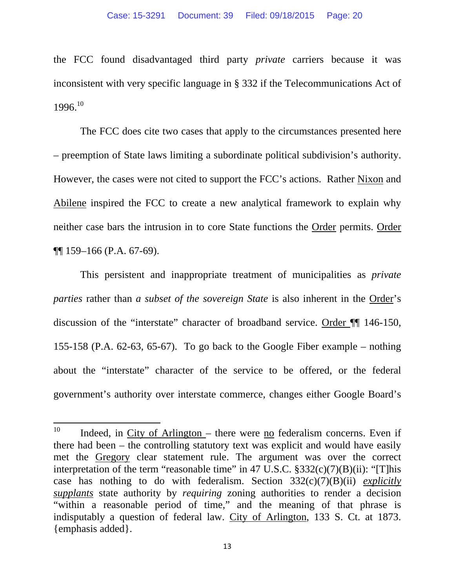the FCC found disadvantaged third party *private* carriers because it was inconsistent with very specific language in § 332 if the Telecommunications Act of 1996.10

 The FCC does cite two cases that apply to the circumstances presented here – preemption of State laws limiting a subordinate political subdivision's authority. However, the cases were not cited to support the FCC's actions. Rather Nixon and Abilene inspired the FCC to create a new analytical framework to explain why neither case bars the intrusion in to core State functions the Order permits. Order ¶¶ 159–166 (P.A. 67-69).

 This persistent and inappropriate treatment of municipalities as *private parties* rather than *a subset of the sovereign State* is also inherent in the Order's discussion of the "interstate" character of broadband service. Order ¶¶ 146-150, 155-158 (P.A. 62-63, 65-67). To go back to the Google Fiber example – nothing about the "interstate" character of the service to be offered, or the federal government's authority over interstate commerce, changes either Google Board's

 $10$  Indeed, in City of Arlington – there were no federalism concerns. Even if there had been – the controlling statutory text was explicit and would have easily met the Gregory clear statement rule. The argument was over the correct interpretation of the term "reasonable time" in 47 U.S.C.  $\S 332(c)(7)(B)(ii)$ : "[T]his case has nothing to do with federalism. Section 332(c)(7)(B)(ii) *explicitly supplants* state authority by *requiring* zoning authorities to render a decision "within a reasonable period of time," and the meaning of that phrase is indisputably a question of federal law. City of Arlington, 133 S. Ct. at 1873. {emphasis added}.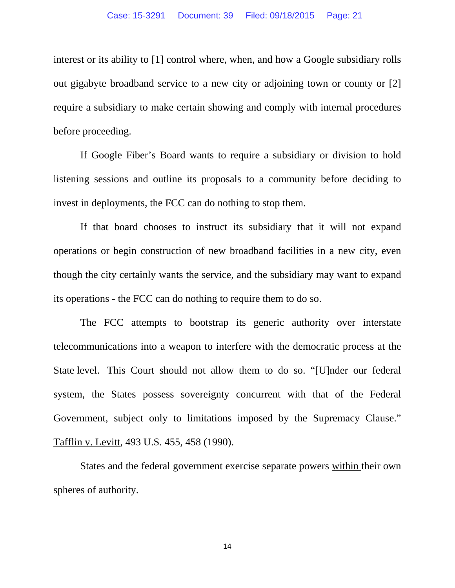interest or its ability to [1] control where, when, and how a Google subsidiary rolls out gigabyte broadband service to a new city or adjoining town or county or [2] require a subsidiary to make certain showing and comply with internal procedures before proceeding.

 If Google Fiber's Board wants to require a subsidiary or division to hold listening sessions and outline its proposals to a community before deciding to invest in deployments, the FCC can do nothing to stop them.

 If that board chooses to instruct its subsidiary that it will not expand operations or begin construction of new broadband facilities in a new city, even though the city certainly wants the service, and the subsidiary may want to expand its operations - the FCC can do nothing to require them to do so.

 The FCC attempts to bootstrap its generic authority over interstate telecommunications into a weapon to interfere with the democratic process at the State level. This Court should not allow them to do so. "[U]nder our federal system, the States possess sovereignty concurrent with that of the Federal Government, subject only to limitations imposed by the Supremacy Clause." Tafflin v. Levitt*,* 493 U.S. 455, 458 (1990).

 States and the federal government exercise separate powers within their own spheres of authority.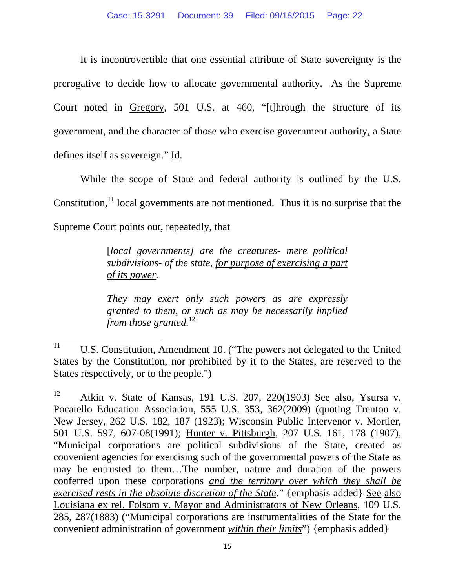It is incontrovertible that one essential attribute of State sovereignty is the prerogative to decide how to allocate governmental authority. As the Supreme Court noted in Gregory, 501 U.S. at 460, "[t]hrough the structure of its government, and the character of those who exercise government authority, a State defines itself as sovereign." Id.

 While the scope of State and federal authority is outlined by the U.S. Constitution, $<sup>11</sup>$  local governments are not mentioned. Thus it is no surprise that the</sup> Supreme Court points out, repeatedly, that

> [*local governments] are the creatures- mere political subdivisions- of the state, for purpose of exercising a part of its power.*

> *They may exert only such powers as are expressly granted to them, or such as may be necessarily implied from those granted.*<sup>12</sup>

 $11$  U.S. Constitution, Amendment 10. ("The powers not delegated to the United States by the Constitution, nor prohibited by it to the States, are reserved to the States respectively, or to the people.")

 $12$  Atkin v. State of Kansas, 191 U.S. 207, 220(1903) See also, Ysursa v. Pocatello Education Association, 555 U.S. 353, 362(2009) (quoting Trenton v. New Jersey, 262 U.S. 182, 187 (1923); Wisconsin Public Intervenor v. Mortier, 501 U.S. 597, 607-08(1991); Hunter v. Pittsburgh, 207 U.S. 161, 178 (1907), "Municipal corporations are political subdivisions of the State, created as convenient agencies for exercising such of the governmental powers of the State as may be entrusted to them…The number, nature and duration of the powers conferred upon these corporations *and the territory over which they shall be exercised rests in the absolute discretion of the State*." {emphasis added} See also Louisiana ex rel. Folsom v. Mayor and Administrators of New Orleans, 109 U.S. 285, 287(1883) ("Municipal corporations are instrumentalities of the State for the convenient administration of government *within their limits*") {emphasis added}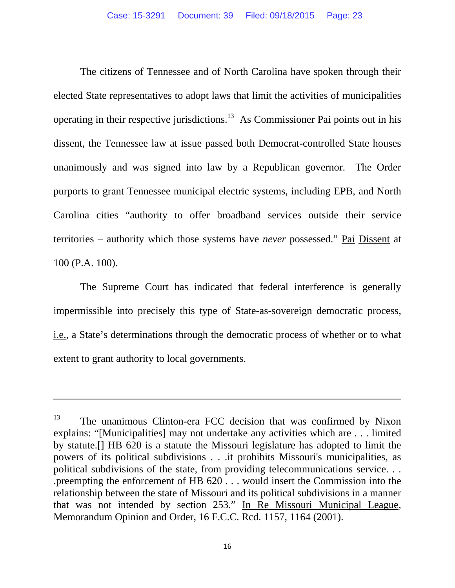The citizens of Tennessee and of North Carolina have spoken through their elected State representatives to adopt laws that limit the activities of municipalities operating in their respective jurisdictions.13 As Commissioner Pai points out in his dissent, the Tennessee law at issue passed both Democrat-controlled State houses unanimously and was signed into law by a Republican governor. The Order purports to grant Tennessee municipal electric systems, including EPB, and North Carolina cities "authority to offer broadband services outside their service territories – authority which those systems have *never* possessed." Pai Dissent at 100 (P.A. 100).

 The Supreme Court has indicated that federal interference is generally impermissible into precisely this type of State-as-sovereign democratic process, i.e., a State's determinations through the democratic process of whether or to what extent to grant authority to local governments.

<u> 1989 - Johann Stoff, amerikansk politiker (d. 1989)</u>

<sup>&</sup>lt;sup>13</sup> The unanimous Clinton-era FCC decision that was confirmed by Nixon explains: "[Municipalities] may not undertake any activities which are . . . limited by statute.[] HB 620 is a statute the Missouri legislature has adopted to limit the powers of its political subdivisions . . .it prohibits Missouri's municipalities, as political subdivisions of the state, from providing telecommunications service. . . .preempting the enforcement of HB 620 . . . would insert the Commission into the relationship between the state of Missouri and its political subdivisions in a manner that was not intended by section 253." In Re Missouri Municipal League, Memorandum Opinion and Order, 16 F.C.C. Rcd. 1157, 1164 (2001).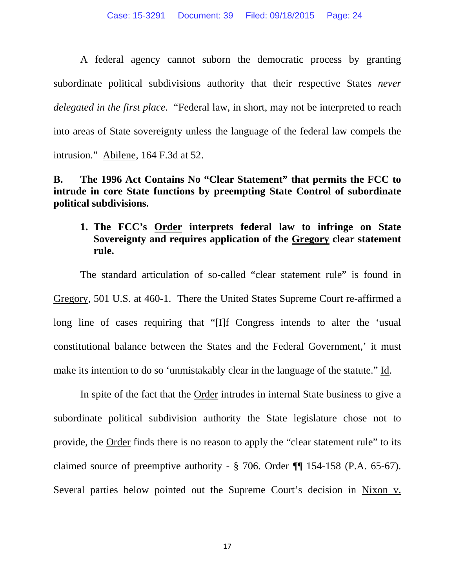A federal agency cannot suborn the democratic process by granting subordinate political subdivisions authority that their respective States *never delegated in the first place*. "Federal law, in short, may not be interpreted to reach into areas of State sovereignty unless the language of the federal law compels the intrusion." Abilene, 164 F.3d at 52.

### **B. The 1996 Act Contains No "Clear Statement" that permits the FCC to intrude in core State functions by preempting State Control of subordinate political subdivisions.**

# **1. The FCC's Order interprets federal law to infringe on State Sovereignty and requires application of the Gregory clear statement rule.**

The standard articulation of so-called "clear statement rule" is found in Gregory*,* 501 U.S. at 460-1. There the United States Supreme Court re-affirmed a long line of cases requiring that "[I]f Congress intends to alter the 'usual constitutional balance between the States and the Federal Government,' it must make its intention to do so 'unmistakably clear in the language of the statute." Id.

 In spite of the fact that the Order intrudes in internal State business to give a subordinate political subdivision authority the State legislature chose not to provide, the Order finds there is no reason to apply the "clear statement rule" to its claimed source of preemptive authority - § 706. Order ¶¶ 154-158 (P.A. 65-67). Several parties below pointed out the Supreme Court's decision in Nixon v.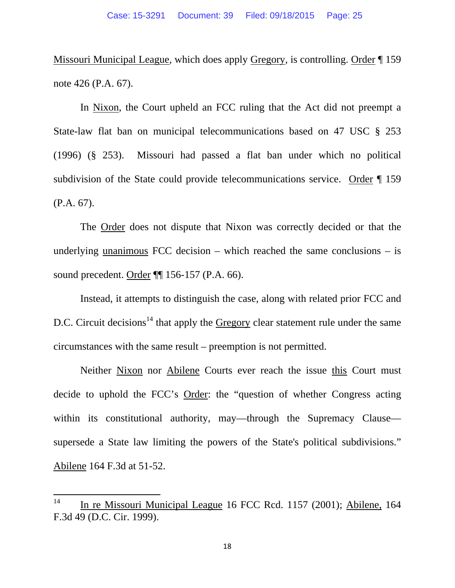Missouri Municipal League*,* which does apply Gregory*,* is controlling. Order ¶ 159 note 426 (P.A. 67).

 In Nixon, the Court upheld an FCC ruling that the Act did not preempt a State-law flat ban on municipal telecommunications based on 47 USC § 253 (1996) (§ 253). Missouri had passed a flat ban under which no political subdivision of the State could provide telecommunications service. Order ¶ 159 (P.A. 67).

 The Order does not dispute that Nixon was correctly decided or that the underlying unanimous FCC decision – which reached the same conclusions – is sound precedent. Order ¶¶ 156-157 (P.A. 66).

 Instead, it attempts to distinguish the case, along with related prior FCC and D.C. Circuit decisions<sup>14</sup> that apply the Gregory clear statement rule under the same circumstances with the same result – preemption is not permitted.

 Neither Nixon nor Abilene Courts ever reach the issue this Court must decide to uphold the FCC's Order: the "question of whether Congress acting within its constitutional authority, may—through the Supremacy Clause supersede a State law limiting the powers of the State's political subdivisions." Abilene 164 F.3d at 51-52.

<sup>&</sup>lt;sup>14</sup> In re Missouri Municipal League 16 FCC Rcd. 1157 (2001); Abilene, 164 F.3d 49 (D.C. Cir. 1999).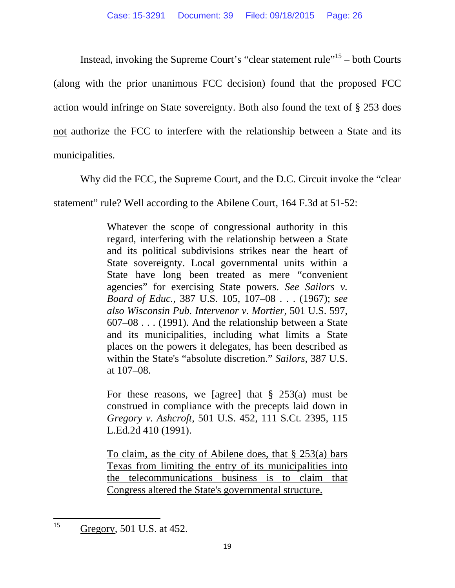Instead, invoking the Supreme Court's "clear statement rule"<sup>15</sup> – both Courts (along with the prior unanimous FCC decision) found that the proposed FCC action would infringe on State sovereignty. Both also found the text of § 253 does not authorize the FCC to interfere with the relationship between a State and its municipalities.

Why did the FCC, the Supreme Court, and the D.C. Circuit invoke the "clear

statement" rule? Well according to the Abilene Court, 164 F.3d at 51-52:

Whatever the scope of congressional authority in this regard, interfering with the relationship between a State and its political subdivisions strikes near the heart of State sovereignty. Local governmental units within a State have long been treated as mere "convenient agencies" for exercising State powers. *See Sailors v. Board of Educ.,* 387 U.S. 105, 107–08 . . . (1967); *see also Wisconsin Pub. Intervenor v. Mortier,* 501 U.S. 597, 607–08 . . . (1991). And the relationship between a State and its municipalities, including what limits a State places on the powers it delegates, has been described as within the State's "absolute discretion." *Sailors,* 387 U.S. at 107–08.

For these reasons, we [agree] that  $\S$  253(a) must be construed in compliance with the precepts laid down in *Gregory v. Ashcroft,* 501 U.S. 452, 111 S.Ct. 2395, 115 L.Ed.2d 410 (1991).

To claim, as the city of Abilene does, that § 253(a) bars Texas from limiting the entry of its municipalities into the telecommunications business is to claim that Congress altered the State's governmental structure.

<sup>15</sup> Gregory*,* 501 U.S. at 452.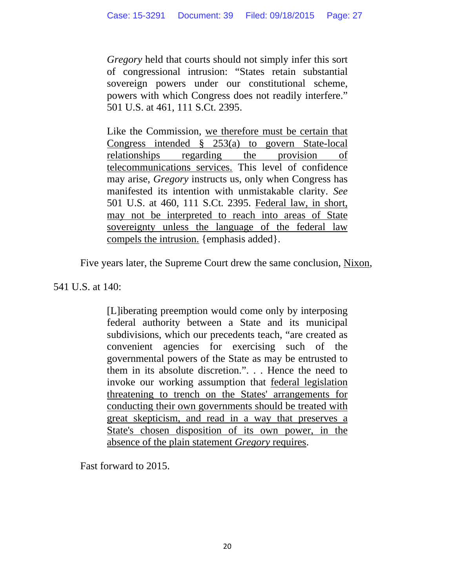*Gregory* held that courts should not simply infer this sort of congressional intrusion: "States retain substantial sovereign powers under our constitutional scheme, powers with which Congress does not readily interfere." 501 U.S. at 461, 111 S.Ct. 2395.

Like the Commission, we therefore must be certain that Congress intended § 253(a) to govern State-local relationships regarding the provision of telecommunications services. This level of confidence may arise, *Gregory* instructs us, only when Congress has manifested its intention with unmistakable clarity. *See* 501 U.S. at 460, 111 S.Ct. 2395. Federal law, in short, may not be interpreted to reach into areas of State sovereignty unless the language of the federal law compels the intrusion. {emphasis added}.

Five years later, the Supreme Court drew the same conclusion, Nixon,

541 U.S. at 140:

[L]iberating preemption would come only by interposing federal authority between a State and its municipal subdivisions, which our precedents teach, "are created as convenient agencies for exercising such of the governmental powers of the State as may be entrusted to them in its absolute discretion.". . . Hence the need to invoke our working assumption that federal legislation threatening to trench on the States' arrangements for conducting their own governments should be treated with great skepticism, and read in a way that preserves a State's chosen disposition of its own power, in the absence of the plain statement *Gregory* requires.

Fast forward to 2015.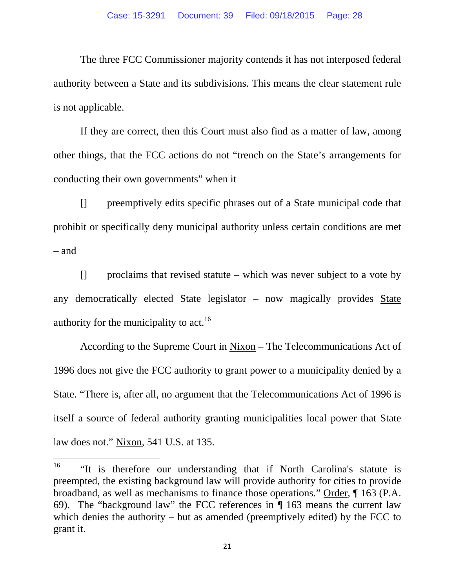The three FCC Commissioner majority contends it has not interposed federal authority between a State and its subdivisions. This means the clear statement rule is not applicable.

 If they are correct, then this Court must also find as a matter of law, among other things, that the FCC actions do not "trench on the State's arrangements for conducting their own governments" when it

 [] preemptively edits specific phrases out of a State municipal code that prohibit or specifically deny municipal authority unless certain conditions are met – and

 [] proclaims that revised statute – which was never subject to a vote by any democratically elected State legislator – now magically provides State authority for the municipality to  $act.<sup>16</sup>$ 

 According to the Supreme Court in Nixon – The Telecommunications Act of 1996 does not give the FCC authority to grant power to a municipality denied by a State. "There is, after all, no argument that the Telecommunications Act of 1996 is itself a source of federal authority granting municipalities local power that State law does not." Nixon*,* 541 U.S. at 135.

<sup>&</sup>lt;sup>16</sup> "It is therefore our understanding that if North Carolina's statute is preempted, the existing background law will provide authority for cities to provide broadband, as well as mechanisms to finance those operations." Order, ¶ 163 (P.A. 69). The "background law" the FCC references in ¶ 163 means the current law which denies the authority – but as amended (preemptively edited) by the FCC to grant it.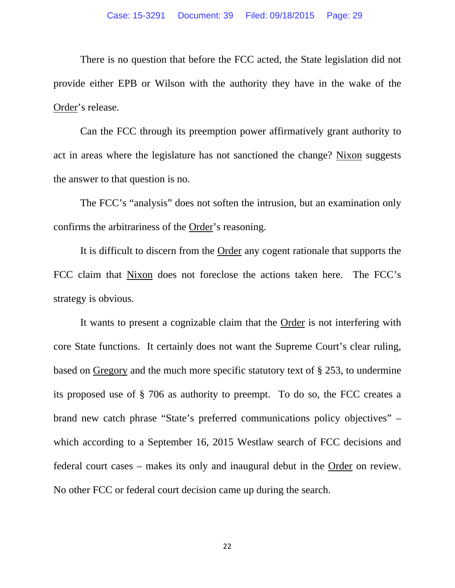There is no question that before the FCC acted, the State legislation did not provide either EPB or Wilson with the authority they have in the wake of the Order's release.

 Can the FCC through its preemption power affirmatively grant authority to act in areas where the legislature has not sanctioned the change? Nixon suggests the answer to that question is no.

 The FCC's "analysis" does not soften the intrusion, but an examination only confirms the arbitrariness of the Order's reasoning.

 It is difficult to discern from the Order any cogent rationale that supports the FCC claim that Nixon does not foreclose the actions taken here. The FCC's strategy is obvious.

 It wants to present a cognizable claim that the Order is not interfering with core State functions. It certainly does not want the Supreme Court's clear ruling, based on Gregory and the much more specific statutory text of § 253, to undermine its proposed use of § 706 as authority to preempt. To do so, the FCC creates a brand new catch phrase "State's preferred communications policy objectives" – which according to a September 16, 2015 Westlaw search of FCC decisions and federal court cases – makes its only and inaugural debut in the Order on review. No other FCC or federal court decision came up during the search.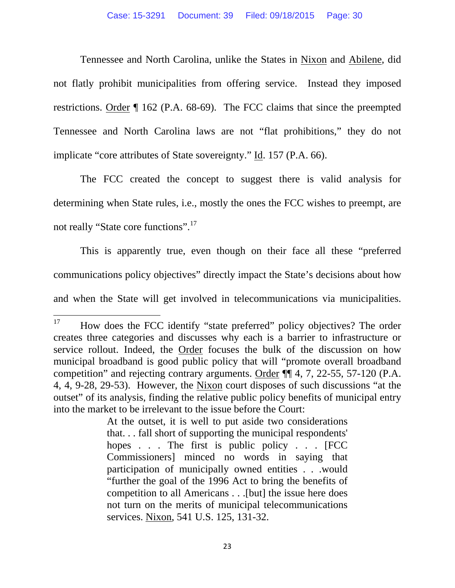Tennessee and North Carolina, unlike the States in Nixon and Abilene, did not flatly prohibit municipalities from offering service. Instead they imposed restrictions. Order ¶ 162 (P.A. 68-69). The FCC claims that since the preempted Tennessee and North Carolina laws are not "flat prohibitions," they do not implicate "core attributes of State sovereignty." Id. 157 (P.A. 66).

 The FCC created the concept to suggest there is valid analysis for determining when State rules, i.e., mostly the ones the FCC wishes to preempt, are not really "State core functions".<sup>17</sup>

 This is apparently true, even though on their face all these "preferred communications policy objectives" directly impact the State's decisions about how and when the State will get involved in telecommunications via municipalities.

<sup>&</sup>lt;sup>17</sup> How does the FCC identify "state preferred" policy objectives? The order creates three categories and discusses why each is a barrier to infrastructure or service rollout. Indeed, the Order focuses the bulk of the discussion on how municipal broadband is good public policy that will "promote overall broadband competition" and rejecting contrary arguments. Order ¶¶ 4, 7, 22-55, 57-120 (P.A. 4, 4, 9-28, 29-53). However, the Nixon court disposes of such discussions "at the outset" of its analysis, finding the relative public policy benefits of municipal entry into the market to be irrelevant to the issue before the Court:

At the outset, it is well to put aside two considerations that. . . fall short of supporting the municipal respondents' hopes . . . The first is public policy . . . [FCC] Commissioners] minced no words in saying that participation of municipally owned entities . . .would "further the goal of the 1996 Act to bring the benefits of competition to all Americans . . .[but] the issue here does not turn on the merits of municipal telecommunications services. Nixon, 541 U.S. 125, 131-32.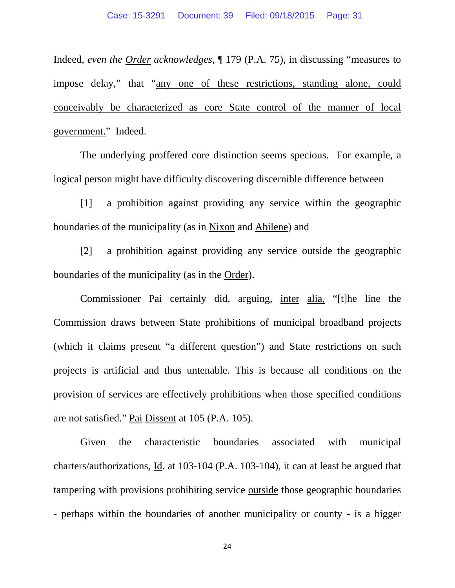Indeed, *even the Order acknowledges*, ¶ 179 (P.A. 75), in discussing "measures to impose delay," that "any one of these restrictions, standing alone, could conceivably be characterized as core State control of the manner of local government." Indeed.

 The underlying proffered core distinction seems specious. For example, a logical person might have difficulty discovering discernible difference between

 [1] a prohibition against providing any service within the geographic boundaries of the municipality (as in Nixon and Abilene) and

 [2] a prohibition against providing any service outside the geographic boundaries of the municipality (as in the Order).

 Commissioner Pai certainly did, arguing, inter alia, "[t]he line the Commission draws between State prohibitions of municipal broadband projects (which it claims present "a different question") and State restrictions on such projects is artificial and thus untenable. This is because all conditions on the provision of services are effectively prohibitions when those specified conditions are not satisfied." Pai Dissent at 105 (P.A. 105).

 Given the characteristic boundaries associated with municipal charters/authorizations, Id. at 103-104 (P.A. 103-104), it can at least be argued that tampering with provisions prohibiting service outside those geographic boundaries - perhaps within the boundaries of another municipality or county - is a bigger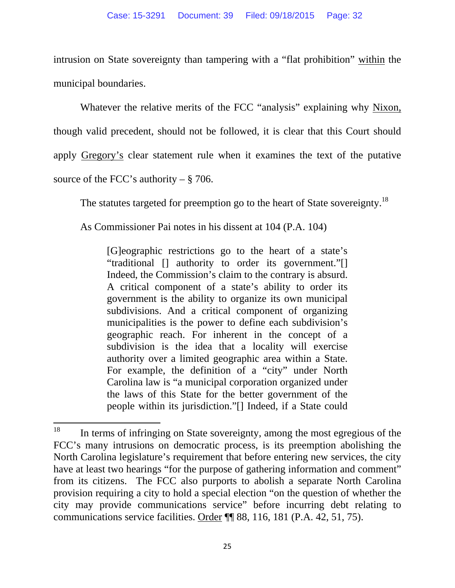intrusion on State sovereignty than tampering with a "flat prohibition" within the municipal boundaries.

 Whatever the relative merits of the FCC "analysis" explaining why Nixon, though valid precedent, should not be followed, it is clear that this Court should apply Gregory's clear statement rule when it examines the text of the putative source of the FCC's authority –  $\S$  706.

The statutes targeted for preemption go to the heart of State sovereignty.<sup>18</sup>

As Commissioner Pai notes in his dissent at 104 (P.A. 104)

[G]eographic restrictions go to the heart of a state's "traditional [] authority to order its government."[] Indeed, the Commission's claim to the contrary is absurd. A critical component of a state's ability to order its government is the ability to organize its own municipal subdivisions. And a critical component of organizing municipalities is the power to define each subdivision's geographic reach. For inherent in the concept of a subdivision is the idea that a locality will exercise authority over a limited geographic area within a State. For example, the definition of a "city" under North Carolina law is "a municipal corporation organized under the laws of this State for the better government of the people within its jurisdiction."[] Indeed, if a State could

 $18$  In terms of infringing on State sovereignty, among the most egregious of the FCC's many intrusions on democratic process, is its preemption abolishing the North Carolina legislature's requirement that before entering new services, the city have at least two hearings "for the purpose of gathering information and comment" from its citizens. The FCC also purports to abolish a separate North Carolina provision requiring a city to hold a special election "on the question of whether the city may provide communications service" before incurring debt relating to communications service facilities. Order ¶¶ 88, 116, 181 (P.A. 42, 51, 75).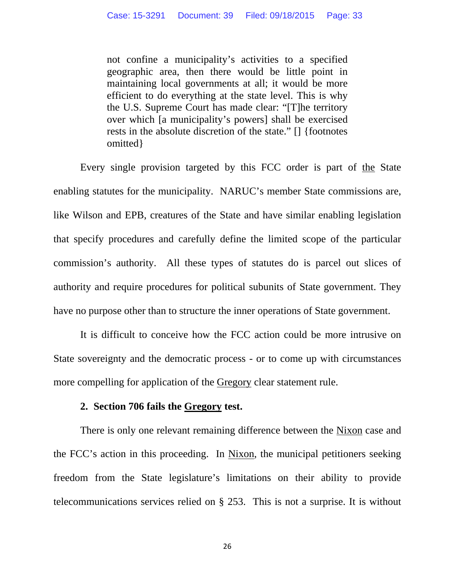not confine a municipality's activities to a specified geographic area, then there would be little point in maintaining local governments at all; it would be more efficient to do everything at the state level. This is why the U.S. Supreme Court has made clear: "[T]he territory over which [a municipality's powers] shall be exercised rests in the absolute discretion of the state." [] {footnotes omitted}

 Every single provision targeted by this FCC order is part of the State enabling statutes for the municipality. NARUC's member State commissions are, like Wilson and EPB, creatures of the State and have similar enabling legislation that specify procedures and carefully define the limited scope of the particular commission's authority. All these types of statutes do is parcel out slices of authority and require procedures for political subunits of State government. They have no purpose other than to structure the inner operations of State government.

 It is difficult to conceive how the FCC action could be more intrusive on State sovereignty and the democratic process - or to come up with circumstances more compelling for application of the Gregory clear statement rule.

#### **2. Section 706 fails the Gregory test.**

There is only one relevant remaining difference between the Nixon case and the FCC's action in this proceeding. In Nixon, the municipal petitioners seeking freedom from the State legislature's limitations on their ability to provide telecommunications services relied on § 253. This is not a surprise. It is without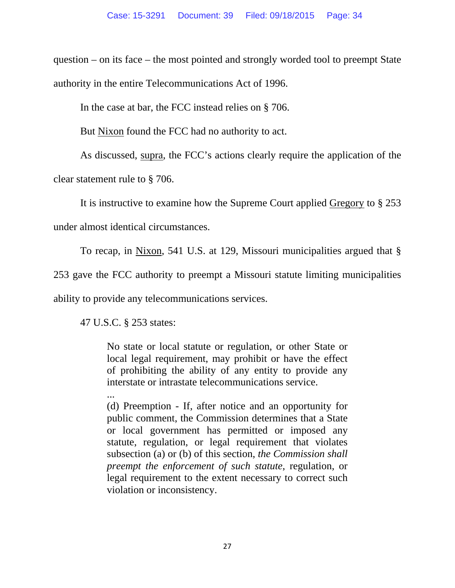question – on its face – the most pointed and strongly worded tool to preempt State authority in the entire Telecommunications Act of 1996.

In the case at bar, the FCC instead relies on § 706.

But Nixon found the FCC had no authority to act.

 As discussed, supra, the FCC's actions clearly require the application of the clear statement rule to § 706.

It is instructive to examine how the Supreme Court applied Gregory to § 253

under almost identical circumstances.

To recap, in Nixon, 541 U.S. at 129, Missouri municipalities argued that §

253 gave the FCC authority to preempt a Missouri statute limiting municipalities ability to provide any telecommunications services.

47 U.S.C. § 253 states:

No state or local statute or regulation, or other State or local legal requirement, may prohibit or have the effect of prohibiting the ability of any entity to provide any interstate or intrastate telecommunications service.

... (d) Preemption - If, after notice and an opportunity for public comment, the Commission determines that a State or local government has permitted or imposed any statute, regulation, or legal requirement that violates subsection (a) or (b) of this section, *the Commission shall preempt the enforcement of such statute*, regulation, or legal requirement to the extent necessary to correct such violation or inconsistency.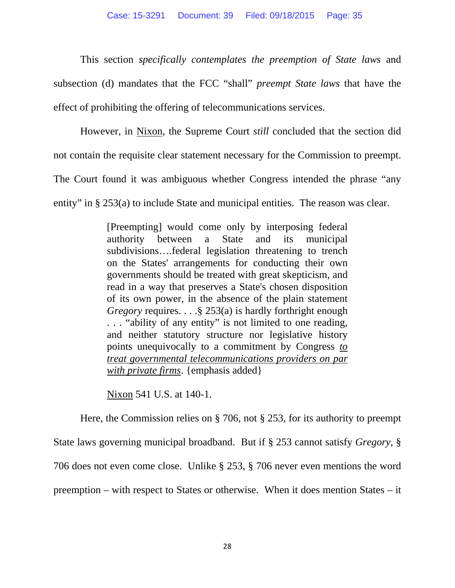This section *specifically contemplates the preemption of State laws* and subsection (d) mandates that the FCC "shall" *preempt State laws* that have the effect of prohibiting the offering of telecommunications services.

 However, in Nixon, the Supreme Court *still* concluded that the section did not contain the requisite clear statement necessary for the Commission to preempt.

The Court found it was ambiguous whether Congress intended the phrase "any

entity" in § 253(a) to include State and municipal entities. The reason was clear.

[Preempting] would come only by interposing federal authority between a State and its municipal subdivisions….federal legislation threatening to trench on the States' arrangements for conducting their own governments should be treated with great skepticism, and read in a way that preserves a State's chosen disposition of its own power, in the absence of the plain statement *Gregory* requires. . . . § 253(a) is hardly forthright enough . . . "ability of any entity" is not limited to one reading, and neither statutory structure nor legislative history points unequivocally to a commitment by Congress *to treat governmental telecommunications providers on par with private firms*. {emphasis added}

Nixon 541 U.S. at 140-1.

 Here, the Commission relies on § 706, not § 253, for its authority to preempt State laws governing municipal broadband. But if § 253 cannot satisfy *Gregory*, § 706 does not even come close. Unlike § 253, § 706 never even mentions the word preemption – with respect to States or otherwise. When it does mention States – it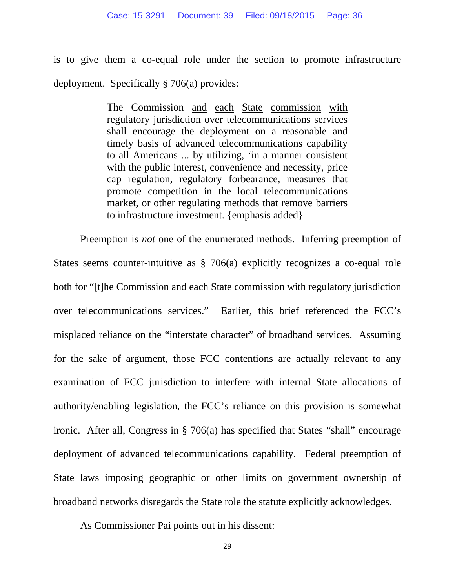is to give them a co-equal role under the section to promote infrastructure deployment. Specifically § 706(a) provides:

> The Commission and each State commission with regulatory jurisdiction over telecommunications services shall encourage the deployment on a reasonable and timely basis of advanced telecommunications capability to all Americans ... by utilizing, 'in a manner consistent with the public interest, convenience and necessity, price cap regulation, regulatory forbearance, measures that promote competition in the local telecommunications market, or other regulating methods that remove barriers to infrastructure investment. {emphasis added}

 Preemption is *not* one of the enumerated methods. Inferring preemption of States seems counter-intuitive as § 706(a) explicitly recognizes a co-equal role both for "[t]he Commission and each State commission with regulatory jurisdiction over telecommunications services." Earlier, this brief referenced the FCC's misplaced reliance on the "interstate character" of broadband services. Assuming for the sake of argument, those FCC contentions are actually relevant to any examination of FCC jurisdiction to interfere with internal State allocations of authority/enabling legislation, the FCC's reliance on this provision is somewhat ironic. After all, Congress in § 706(a) has specified that States "shall" encourage deployment of advanced telecommunications capability. Federal preemption of State laws imposing geographic or other limits on government ownership of broadband networks disregards the State role the statute explicitly acknowledges.

As Commissioner Pai points out in his dissent: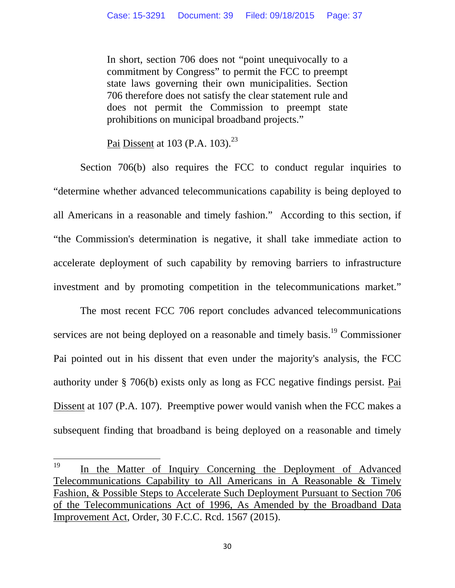In short, section 706 does not "point unequivocally to a commitment by Congress" to permit the FCC to preempt state laws governing their own municipalities. Section 706 therefore does not satisfy the clear statement rule and does not permit the Commission to preempt state prohibitions on municipal broadband projects."

Pai Dissent at  $103$  (P.A.  $103$ ).<sup>23</sup>

Section 706(b) also requires the FCC to conduct regular inquiries to "determine whether advanced telecommunications capability is being deployed to all Americans in a reasonable and timely fashion." According to this section, if "the Commission's determination is negative, it shall take immediate action to accelerate deployment of such capability by removing barriers to infrastructure investment and by promoting competition in the telecommunications market."

 The most recent FCC 706 report concludes advanced telecommunications services are not being deployed on a reasonable and timely basis.<sup>19</sup> Commissioner Pai pointed out in his dissent that even under the majority's analysis, the FCC authority under § 706(b) exists only as long as FCC negative findings persist. Pai Dissent at 107 (P.A. 107). Preemptive power would vanish when the FCC makes a subsequent finding that broadband is being deployed on a reasonable and timely

<sup>&</sup>lt;sup>19</sup> In the Matter of Inquiry Concerning the Deployment of Advanced Telecommunications Capability to All Americans in A Reasonable & Timely Fashion, & Possible Steps to Accelerate Such Deployment Pursuant to Section 706 of the Telecommunications Act of 1996, As Amended by the Broadband Data Improvement Act, Order, 30 F.C.C. Rcd. 1567 (2015).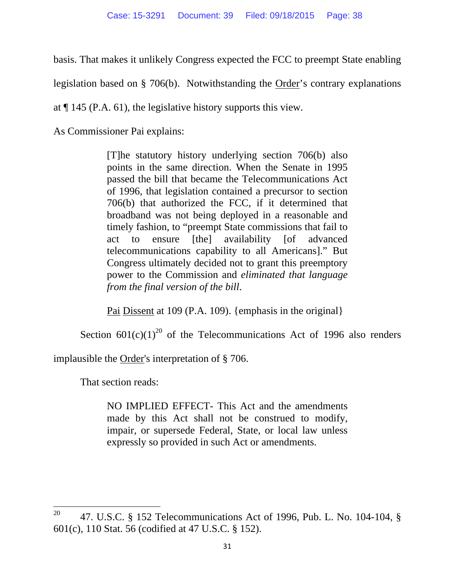basis. That makes it unlikely Congress expected the FCC to preempt State enabling

legislation based on § 706(b). Notwithstanding the Order's contrary explanations

at ¶ 145 (P.A. 61), the legislative history supports this view.

As Commissioner Pai explains:

[T]he statutory history underlying section 706(b) also points in the same direction. When the Senate in 1995 passed the bill that became the Telecommunications Act of 1996, that legislation contained a precursor to section 706(b) that authorized the FCC, if it determined that broadband was not being deployed in a reasonable and timely fashion, to "preempt State commissions that fail to act to ensure [the] availability [of advanced telecommunications capability to all Americans]." But Congress ultimately decided not to grant this preemptory power to the Commission and *eliminated that language from the final version of the bill*.

Pai Dissent at 109 (P.A. 109). {emphasis in the original}

Section  $601(c)(1)^{20}$  of the Telecommunications Act of 1996 also renders

implausible the Order's interpretation of § 706.

That section reads:

NO IMPLIED EFFECT- This Act and the amendments made by this Act shall not be construed to modify, impair, or supersede Federal, State, or local law unless expressly so provided in such Act or amendments.

<sup>&</sup>lt;sup>20</sup> 47. U.S.C. § 152 Telecommunications Act of 1996, Pub. L. No. 104-104, § 601(c), 110 Stat. 56 (codified at 47 U.S.C. § 152).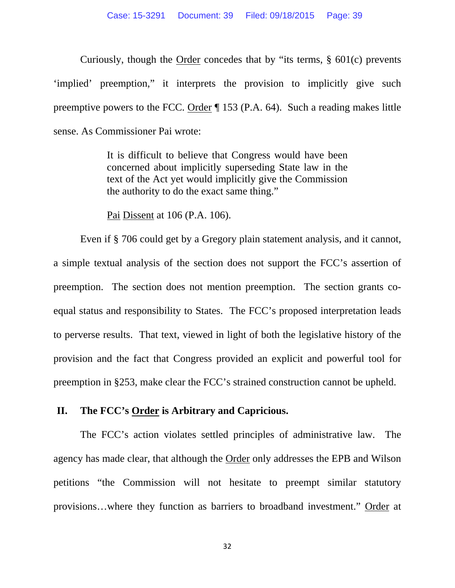Curiously, though the Order concedes that by "its terms, § 601(c) prevents 'implied' preemption," it interprets the provision to implicitly give such preemptive powers to the FCC. Order ¶ 153 (P.A. 64). Such a reading makes little sense. As Commissioner Pai wrote:

> It is difficult to believe that Congress would have been concerned about implicitly superseding State law in the text of the Act yet would implicitly give the Commission the authority to do the exact same thing."

Pai Dissent at 106 (P.A. 106).

 Even if § 706 could get by a Gregory plain statement analysis, and it cannot, a simple textual analysis of the section does not support the FCC's assertion of preemption. The section does not mention preemption. The section grants coequal status and responsibility to States. The FCC's proposed interpretation leads to perverse results. That text, viewed in light of both the legislative history of the provision and the fact that Congress provided an explicit and powerful tool for preemption in §253, make clear the FCC's strained construction cannot be upheld.

#### **II. The FCC's Order is Arbitrary and Capricious.**

The FCC's action violates settled principles of administrative law. The agency has made clear, that although the Order only addresses the EPB and Wilson petitions "the Commission will not hesitate to preempt similar statutory provisions…where they function as barriers to broadband investment." Order at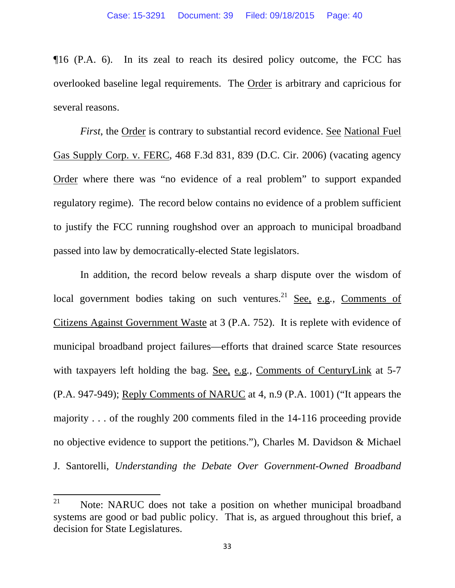¶16 (P.A. 6). In its zeal to reach its desired policy outcome, the FCC has overlooked baseline legal requirements. The Order is arbitrary and capricious for several reasons.

*First*, the Order is contrary to substantial record evidence. See National Fuel Gas Supply Corp. v. FERC, 468 F.3d 831, 839 (D.C. Cir. 2006) (vacating agency Order where there was "no evidence of a real problem" to support expanded regulatory regime). The record below contains no evidence of a problem sufficient to justify the FCC running roughshod over an approach to municipal broadband passed into law by democratically-elected State legislators.

In addition, the record below reveals a sharp dispute over the wisdom of local government bodies taking on such ventures.<sup>21</sup> See, e.g., Comments of Citizens Against Government Waste at 3 (P.A. 752). It is replete with evidence of municipal broadband project failures—efforts that drained scarce State resources with taxpayers left holding the bag. See, e.g*.*, Comments of CenturyLink at 5-7 (P.A. 947-949); Reply Comments of NARUC at 4, n.9 (P.A. 1001) ("It appears the majority . . . of the roughly 200 comments filed in the 14-116 proceeding provide no objective evidence to support the petitions."), Charles M. Davidson & Michael J. Santorelli, *Understanding the Debate Over Government-Owned Broadband* 

<sup>&</sup>lt;sup>21</sup> Note: NARUC does not take a position on whether municipal broadband systems are good or bad public policy. That is, as argued throughout this brief, a decision for State Legislatures.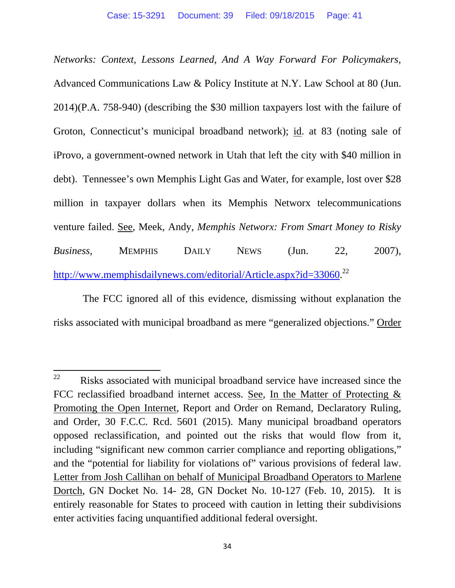*Networks: Context, Lessons Learned, And A Way Forward For Policymakers*, Advanced Communications Law & Policy Institute at N.Y. Law School at 80 (Jun. 2014)(P.A. 758-940) (describing the \$30 million taxpayers lost with the failure of Groton, Connecticut's municipal broadband network); id. at 83 (noting sale of iProvo, a government-owned network in Utah that left the city with \$40 million in debt). Tennessee's own Memphis Light Gas and Water, for example, lost over \$28 million in taxpayer dollars when its Memphis Networx telecommunications venture failed. See, Meek, Andy, *Memphis Networx: From Smart Money to Risky Business,* MEMPHIS DAILY NEWS (Jun. 22, 2007), http://www.memphisdailynews.com/editorial/Article.aspx?id=33060.<sup>22</sup>

 The FCC ignored all of this evidence, dismissing without explanation the risks associated with municipal broadband as mere "generalized objections." Order

 $22$  Risks associated with municipal broadband service have increased since the FCC reclassified broadband internet access. See, In the Matter of Protecting & Promoting the Open Internet, Report and Order on Remand, Declaratory Ruling, and Order, 30 F.C.C. Rcd. 5601 (2015). Many municipal broadband operators opposed reclassification, and pointed out the risks that would flow from it, including "significant new common carrier compliance and reporting obligations," and the "potential for liability for violations of" various provisions of federal law. Letter from Josh Callihan on behalf of Municipal Broadband Operators to Marlene Dortch, GN Docket No. 14- 28, GN Docket No. 10-127 (Feb. 10, 2015). It is entirely reasonable for States to proceed with caution in letting their subdivisions enter activities facing unquantified additional federal oversight.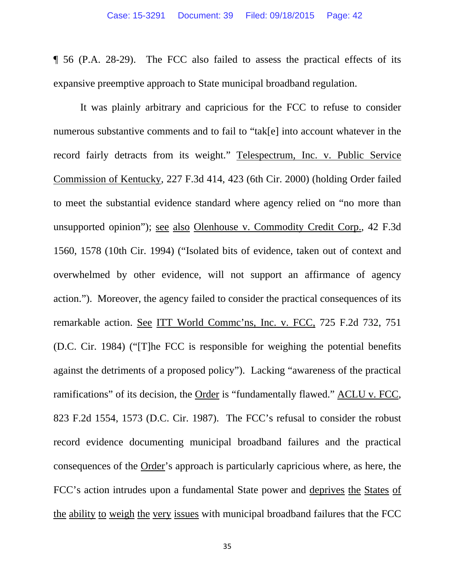¶ 56 (P.A. 28-29). The FCC also failed to assess the practical effects of its expansive preemptive approach to State municipal broadband regulation.

It was plainly arbitrary and capricious for the FCC to refuse to consider numerous substantive comments and to fail to "tak[e] into account whatever in the record fairly detracts from its weight." Telespectrum, Inc. v. Public Service Commission of Kentucky, 227 F.3d 414, 423 (6th Cir. 2000) (holding Order failed to meet the substantial evidence standard where agency relied on "no more than unsupported opinion"); see also Olenhouse v. Commodity Credit Corp., 42 F.3d 1560, 1578 (10th Cir. 1994) ("Isolated bits of evidence, taken out of context and overwhelmed by other evidence, will not support an affirmance of agency action."). Moreover, the agency failed to consider the practical consequences of its remarkable action. See ITT World Commc'ns, Inc. v. FCC, 725 F.2d 732, 751 (D.C. Cir. 1984) ("[T]he FCC is responsible for weighing the potential benefits against the detriments of a proposed policy"). Lacking "awareness of the practical ramifications" of its decision, the Order is "fundamentally flawed." ACLU v. FCC, 823 F.2d 1554, 1573 (D.C. Cir. 1987). The FCC's refusal to consider the robust record evidence documenting municipal broadband failures and the practical consequences of the Order's approach is particularly capricious where, as here, the FCC's action intrudes upon a fundamental State power and deprives the States of the ability to weigh the very issues with municipal broadband failures that the FCC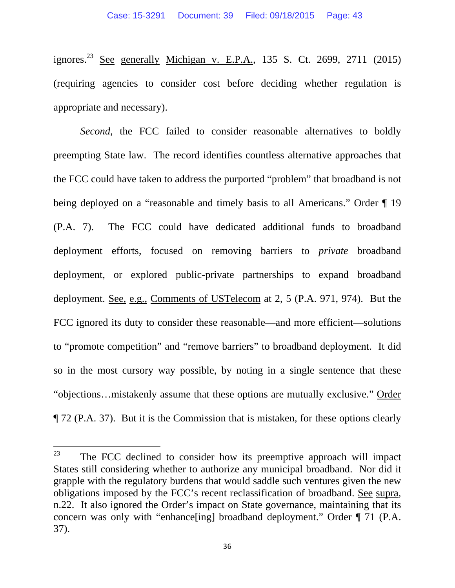ignores.<sup>23</sup> See generally Michigan v. E.P.A., 135 S. Ct. 2699, 2711 (2015) (requiring agencies to consider cost before deciding whether regulation is appropriate and necessary).

*Second*, the FCC failed to consider reasonable alternatives to boldly preempting State law. The record identifies countless alternative approaches that the FCC could have taken to address the purported "problem" that broadband is not being deployed on a "reasonable and timely basis to all Americans." Order  $\P$  19 (P.A. 7). The FCC could have dedicated additional funds to broadband deployment efforts, focused on removing barriers to *private* broadband deployment, or explored public-private partnerships to expand broadband deployment. See, e.g., Comments of USTelecom at 2, 5 (P.A. 971, 974). But the FCC ignored its duty to consider these reasonable—and more efficient—solutions to "promote competition" and "remove barriers" to broadband deployment. It did so in the most cursory way possible, by noting in a single sentence that these "objections…mistakenly assume that these options are mutually exclusive." Order ¶ 72 (P.A. 37). But it is the Commission that is mistaken, for these options clearly

 $23$  The FCC declined to consider how its preemptive approach will impact States still considering whether to authorize any municipal broadband. Nor did it grapple with the regulatory burdens that would saddle such ventures given the new obligations imposed by the FCC's recent reclassification of broadband. See supra, n.22. It also ignored the Order's impact on State governance, maintaining that its concern was only with "enhance[ing] broadband deployment." Order ¶ 71 (P.A. 37).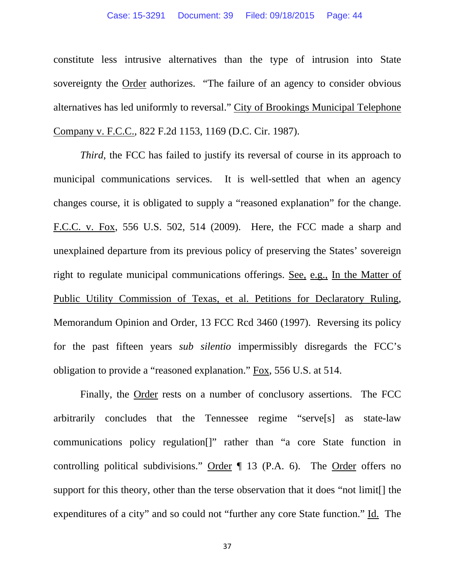constitute less intrusive alternatives than the type of intrusion into State sovereignty the Order authorizes. "The failure of an agency to consider obvious alternatives has led uniformly to reversal." City of Brookings Municipal Telephone Company v. F.C.C., 822 F.2d 1153, 1169 (D.C. Cir. 1987).

*Third*, the FCC has failed to justify its reversal of course in its approach to municipal communications services. It is well-settled that when an agency changes course, it is obligated to supply a "reasoned explanation" for the change. F.C.C. v. Fox, 556 U.S. 502, 514 (2009). Here, the FCC made a sharp and unexplained departure from its previous policy of preserving the States' sovereign right to regulate municipal communications offerings. See, e.g., In the Matter of Public Utility Commission of Texas, et al. Petitions for Declaratory Ruling, Memorandum Opinion and Order, 13 FCC Rcd 3460 (1997). Reversing its policy for the past fifteen years *sub silentio* impermissibly disregards the FCC's obligation to provide a "reasoned explanation." Fox, 556 U.S. at 514.

Finally, the Order rests on a number of conclusory assertions. The FCC arbitrarily concludes that the Tennessee regime "serve[s] as state-law communications policy regulation[]" rather than "a core State function in controlling political subdivisions." Order  $\P$  13 (P.A. 6). The Order offers no support for this theory, other than the terse observation that it does "not limit[] the expenditures of a city" and so could not "further any core State function." Id. The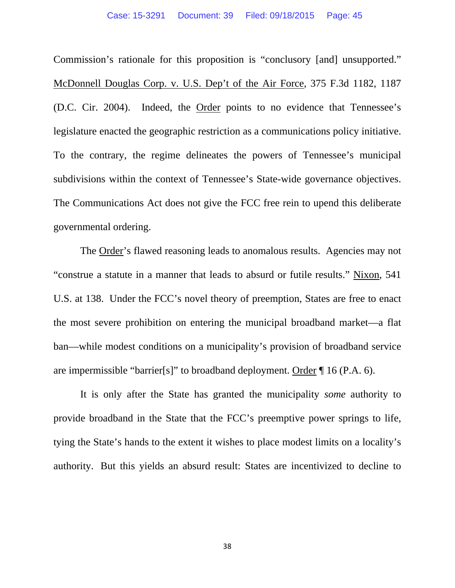Commission's rationale for this proposition is "conclusory [and] unsupported." McDonnell Douglas Corp. v. U.S. Dep't of the Air Force, 375 F.3d 1182, 1187 (D.C. Cir. 2004). Indeed, the Order points to no evidence that Tennessee's legislature enacted the geographic restriction as a communications policy initiative. To the contrary, the regime delineates the powers of Tennessee's municipal subdivisions within the context of Tennessee's State-wide governance objectives. The Communications Act does not give the FCC free rein to upend this deliberate governmental ordering.

The Order's flawed reasoning leads to anomalous results. Agencies may not "construe a statute in a manner that leads to absurd or futile results." Nixon, 541 U.S. at 138. Under the FCC's novel theory of preemption, States are free to enact the most severe prohibition on entering the municipal broadband market—a flat ban—while modest conditions on a municipality's provision of broadband service are impermissible "barrier[s]" to broadband deployment. Order ¶ 16 (P.A. 6).

It is only after the State has granted the municipality *some* authority to provide broadband in the State that the FCC's preemptive power springs to life, tying the State's hands to the extent it wishes to place modest limits on a locality's authority. But this yields an absurd result: States are incentivized to decline to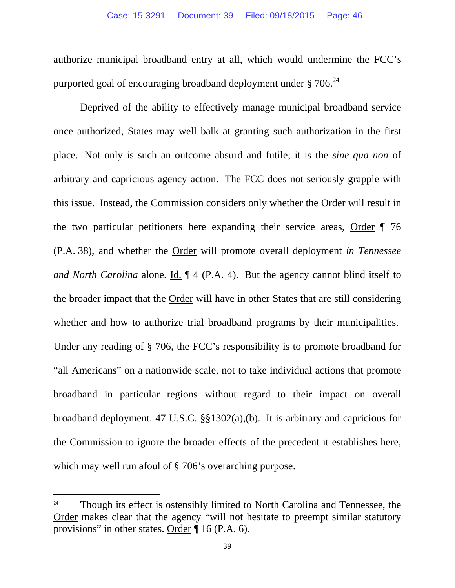authorize municipal broadband entry at all, which would undermine the FCC's purported goal of encouraging broadband deployment under  $\S 706.<sup>24</sup>$ 

Deprived of the ability to effectively manage municipal broadband service once authorized, States may well balk at granting such authorization in the first place. Not only is such an outcome absurd and futile; it is the *sine qua non* of arbitrary and capricious agency action. The FCC does not seriously grapple with this issue. Instead, the Commission considers only whether the Order will result in the two particular petitioners here expanding their service areas, Order ¶ 76 (P.A. 38), and whether the Order will promote overall deployment *in Tennessee and North Carolina* alone. Id. ¶ 4 (P.A. 4). But the agency cannot blind itself to the broader impact that the Order will have in other States that are still considering whether and how to authorize trial broadband programs by their municipalities. Under any reading of § 706, the FCC's responsibility is to promote broadband for "all Americans" on a nationwide scale, not to take individual actions that promote broadband in particular regions without regard to their impact on overall broadband deployment. 47 U.S.C. §§1302(a),(b). It is arbitrary and capricious for the Commission to ignore the broader effects of the precedent it establishes here, which may well run afoul of § 706's overarching purpose.

<sup>&</sup>lt;sup>24</sup> Though its effect is ostensibly limited to North Carolina and Tennessee, the Order makes clear that the agency "will not hesitate to preempt similar statutory provisions" in other states. Order ¶ 16 (P.A. 6).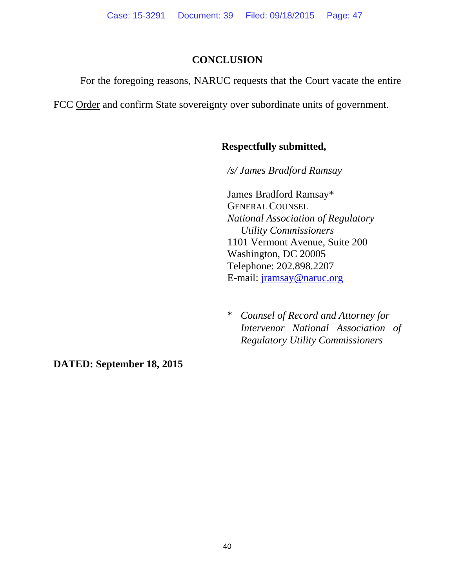### **CONCLUSION**

For the foregoing reasons, NARUC requests that the Court vacate the entire

FCC Order and confirm State sovereignty over subordinate units of government.

# **Respectfully submitted,**

*/s/ James Bradford Ramsay* 

James Bradford Ramsay\* GENERAL COUNSEL *National Association of Regulatory Utility Commissioners*  1101 Vermont Avenue, Suite 200 Washington, DC 20005 Telephone: 202.898.2207 E-mail: jramsay@naruc.org

\* *Counsel of Record and Attorney for Intervenor National Association of Regulatory Utility Commissioners* 

**DATED: September 18, 2015**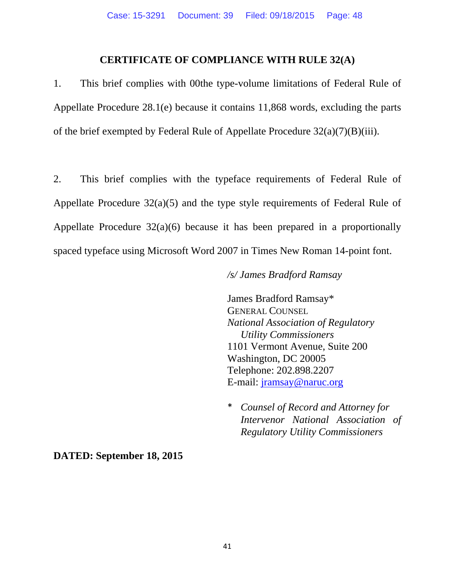#### **CERTIFICATE OF COMPLIANCE WITH RULE 32(A)**

1. This brief complies with 00the type-volume limitations of Federal Rule of Appellate Procedure 28.1(e) because it contains 11,868 words, excluding the parts of the brief exempted by Federal Rule of Appellate Procedure 32(a)(7)(B)(iii).

2. This brief complies with the typeface requirements of Federal Rule of Appellate Procedure 32(a)(5) and the type style requirements of Federal Rule of Appellate Procedure 32(a)(6) because it has been prepared in a proportionally spaced typeface using Microsoft Word 2007 in Times New Roman 14-point font.

#### */s/ James Bradford Ramsay*

James Bradford Ramsay\* GENERAL COUNSEL *National Association of Regulatory Utility Commissioners*  1101 Vermont Avenue, Suite 200 Washington, DC 20005 Telephone: 202.898.2207 E-mail: jramsay@naruc.org

\* *Counsel of Record and Attorney for Intervenor National Association of Regulatory Utility Commissioners* 

#### **DATED: September 18, 2015**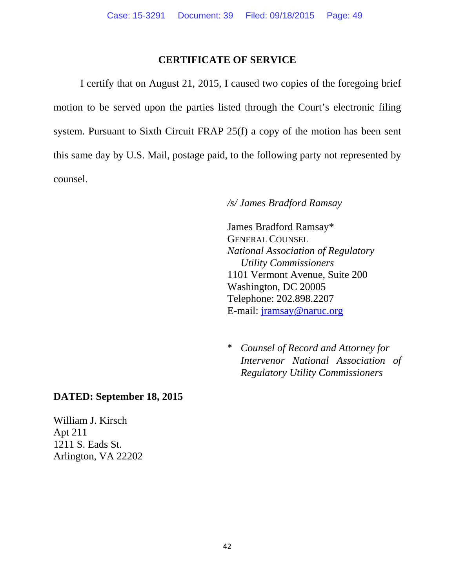#### **CERTIFICATE OF SERVICE**

 I certify that on August 21, 2015, I caused two copies of the foregoing brief motion to be served upon the parties listed through the Court's electronic filing system. Pursuant to Sixth Circuit FRAP 25(f) a copy of the motion has been sent this same day by U.S. Mail, postage paid, to the following party not represented by counsel.

#### */s/ James Bradford Ramsay*

James Bradford Ramsay\* GENERAL COUNSEL *National Association of Regulatory Utility Commissioners*  1101 Vermont Avenue, Suite 200 Washington, DC 20005 Telephone: 202.898.2207 E-mail: jramsay@naruc.org

\* *Counsel of Record and Attorney for Intervenor National Association of Regulatory Utility Commissioners* 

#### **DATED: September 18, 2015**

William J. Kirsch Apt 211 1211 S. Eads St. Arlington, VA 22202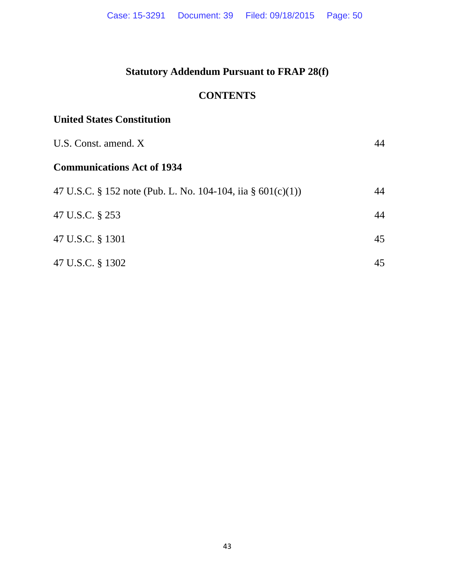# **Statutory Addendum Pursuant to FRAP 28(f)**

# **CONTENTS**

# **United States Constitution**

| U.S. Const. amend. X                                        | 44 |
|-------------------------------------------------------------|----|
| <b>Communications Act of 1934</b>                           |    |
| 47 U.S.C. § 152 note (Pub. L. No. 104-104, iia § 601(c)(1)) | 44 |
| 47 U.S.C. § 253                                             | 44 |
| 47 U.S.C. § 1301                                            | 45 |
| 47 U.S.C. § 1302                                            | 45 |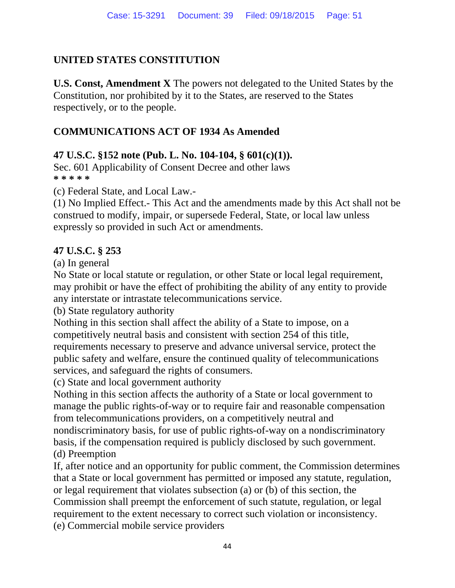# **UNITED STATES CONSTITUTION**

**U.S. Const, Amendment X** The powers not delegated to the United States by the Constitution, nor prohibited by it to the States, are reserved to the States respectively, or to the people.

# **COMMUNICATIONS ACT OF 1934 As Amended**

# **47 U.S.C. §152 note (Pub. L. No. 104-104, § 601(c)(1)).**

Sec. 601 Applicability of Consent Decree and other laws **\* \* \* \* \*** 

(c) Federal State, and Local Law.-

(1) No Implied Effect.- This Act and the amendments made by this Act shall not be construed to modify, impair, or supersede Federal, State, or local law unless expressly so provided in such Act or amendments.

### **47 U.S.C. § 253**

(a) In general

No State or local statute or regulation, or other State or local legal requirement, may prohibit or have the effect of prohibiting the ability of any entity to provide any interstate or intrastate telecommunications service.

(b) State regulatory authority

Nothing in this section shall affect the ability of a State to impose, on a competitively neutral basis and consistent with section 254 of this title, requirements necessary to preserve and advance universal service, protect the public safety and welfare, ensure the continued quality of telecommunications services, and safeguard the rights of consumers.

(c) State and local government authority

Nothing in this section affects the authority of a State or local government to manage the public rights-of-way or to require fair and reasonable compensation from telecommunications providers, on a competitively neutral and nondiscriminatory basis, for use of public rights-of-way on a nondiscriminatory basis, if the compensation required is publicly disclosed by such government. (d) Preemption

If, after notice and an opportunity for public comment, the Commission determines that a State or local government has permitted or imposed any statute, regulation, or legal requirement that violates subsection (a) or (b) of this section, the Commission shall preempt the enforcement of such statute, regulation, or legal requirement to the extent necessary to correct such violation or inconsistency. (e) Commercial mobile service providers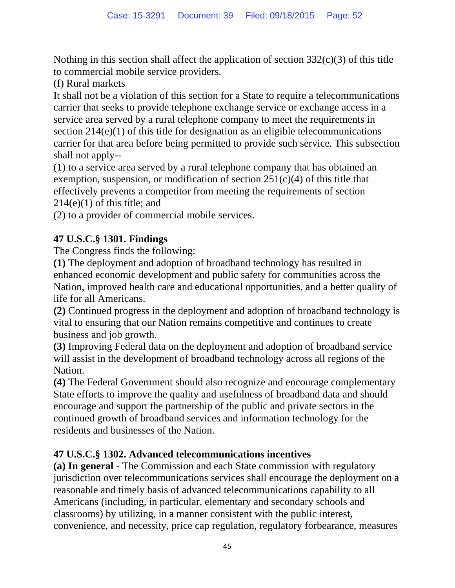Nothing in this section shall affect the application of section  $332(c)(3)$  of this title to commercial mobile service providers.

(f) Rural markets

It shall not be a violation of this section for a State to require a telecommunications carrier that seeks to provide telephone exchange service or exchange access in a service area served by a rural telephone company to meet the requirements in section 214(e)(1) of this title for designation as an eligible telecommunications carrier for that area before being permitted to provide such service. This subsection shall not apply--

(1) to a service area served by a rural telephone company that has obtained an exemption, suspension, or modification of section  $251(c)(4)$  of this title that effectively prevents a competitor from meeting the requirements of section  $214(e)(1)$  of this title; and

(2) to a provider of commercial mobile services.

# **47 U.S.C.§ 1301. Findings**

The Congress finds the following:

**(1)** The deployment and adoption of broadband technology has resulted in enhanced economic development and public safety for communities across the Nation, improved health care and educational opportunities, and a better quality of life for all Americans.

**(2)** Continued progress in the deployment and adoption of broadband technology is vital to ensuring that our Nation remains competitive and continues to create business and job growth.

**(3)** Improving Federal data on the deployment and adoption of broadband service will assist in the development of broadband technology across all regions of the Nation.

**(4)** The Federal Government should also recognize and encourage complementary State efforts to improve the quality and usefulness of broadband data and should encourage and support the partnership of the public and private sectors in the continued growth of broadband services and information technology for the residents and businesses of the Nation.

# **47 U.S.C.§ 1302. Advanced telecommunications incentives**

**(a) In general -** The Commission and each State commission with regulatory jurisdiction over telecommunications services shall encourage the deployment on a reasonable and timely basis of advanced telecommunications capability to all Americans (including, in particular, elementary and secondary schools and classrooms) by utilizing, in a manner consistent with the public interest, convenience, and necessity, price cap regulation, regulatory forbearance, measures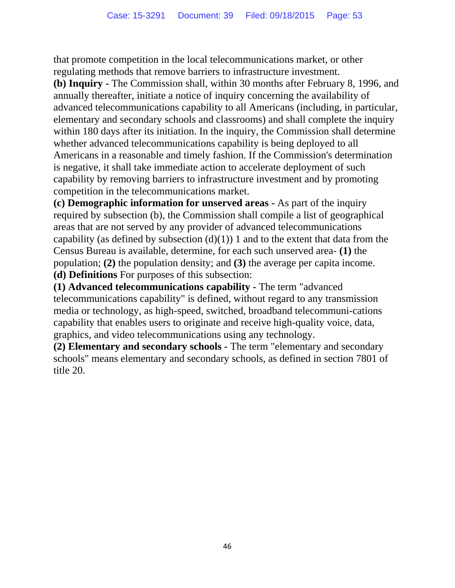that promote competition in the local telecommunications market, or other regulating methods that remove barriers to infrastructure investment.

**(b) Inquiry -** The Commission shall, within 30 months after February 8, 1996, and annually thereafter, initiate a notice of inquiry concerning the availability of advanced telecommunications capability to all Americans (including, in particular, elementary and secondary schools and classrooms) and shall complete the inquiry within 180 days after its initiation. In the inquiry, the Commission shall determine whether advanced telecommunications capability is being deployed to all Americans in a reasonable and timely fashion. If the Commission's determination is negative, it shall take immediate action to accelerate deployment of such capability by removing barriers to infrastructure investment and by promoting competition in the telecommunications market.

**(c) Demographic information for unserved areas -** As part of the inquiry required by subsection (b), the Commission shall compile a list of geographical areas that are not served by any provider of advanced telecommunications capability (as defined by subsection  $(d)(1)$ ) 1 and to the extent that data from the Census Bureau is available, determine, for each such unserved area- **(1)** the population; **(2)** the population density; and **(3)** the average per capita income. **(d) Definitions** For purposes of this subsection:

**(1) Advanced telecommunications capability -** The term "advanced telecommunications capability" is defined, without regard to any transmission media or technology, as high-speed, switched, broadband telecommuni-cations capability that enables users to originate and receive high-quality voice, data, graphics, and video telecommunications using any technology.

**(2) Elementary and secondary schools -** The term "elementary and secondary schools" means elementary and secondary schools, as defined in section 7801 of title 20.